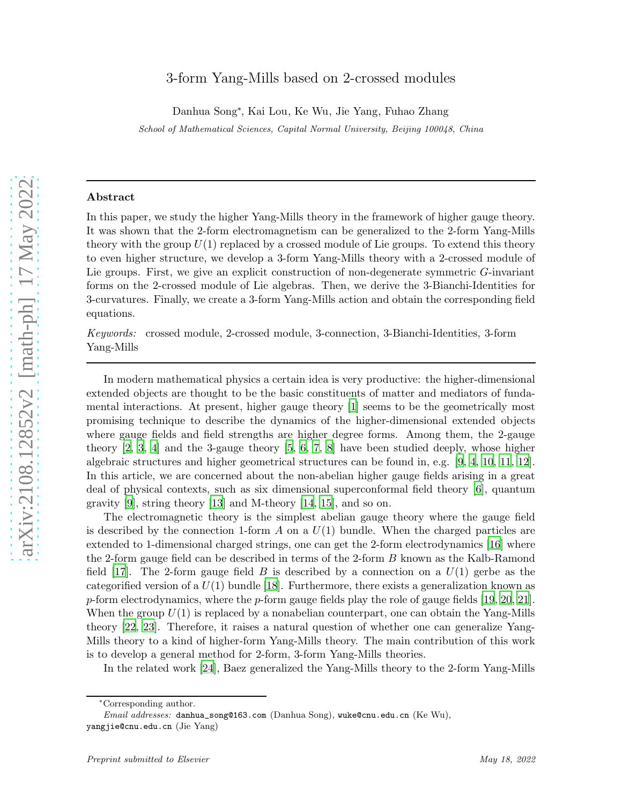# 3-form Yang-Mills based on 2-crossed modules

Danhua Song<sup>∗</sup> , Kai Lou, Ke Wu, Jie Yang, Fuhao Zhang

School of Mathematical Sciences, Capital Normal University, Beijing 100048, China

### Abstract

In this paper, we study the higher Yang-Mills theory in the framework of higher gauge theory. It was shown that the 2-form electromagnetism can be generalized to the 2-form Yang-Mills theory with the group  $U(1)$  replaced by a crossed module of Lie groups. To extend this theory to even higher structure, we develop a 3-form Yang-Mills theory with a 2-crossed module of Lie groups. First, we give an explicit construction of non-degenerate symmetric G-invariant forms on the 2-crossed module of Lie algebras. Then, we derive the 3-Bianchi-Identities for 3-curvatures. Finally, we create a 3-form Yang-Mills action and obtain the corresponding field equations.

Keywords: crossed module, 2-crossed module, 3-connection, 3-Bianchi-Identities, 3-form Yang-Mills

In modern mathematical physics a certain idea is very productive: the higher-dimensional extended objects are thought to be the basic constituents of matter and mediators of fundamental interactions. At present, higher gauge theory [\[1\]](#page-27-0) seems to be the geometrically most promising technique to describe the dynamics of the higher-dimensional extended objects where gauge fields and field strengths are higher degree forms. Among them, the 2-gauge theory [\[2,](#page-27-1) [3,](#page-27-2) [4\]](#page-27-3) and the 3-gauge theory [\[5](#page-27-4), [6](#page-27-5), 7, [8](#page-27-6)] have been studied deeply, whose higher algebraic structures and higher geometrical structures can be found in, e.g. [\[9](#page-27-7), [4](#page-27-3), [10,](#page-27-8) [11](#page-28-0), [12\]](#page-28-1). In this article, we are concerned about the non-abelian higher gauge fields arising in a great deal of physical contexts, such as six dimensional superconformal field theory [\[6\]](#page-27-5), quantum gravity [\[9](#page-27-7)], string theory [\[13](#page-28-2)] and M-theory [\[14](#page-28-3), [15\]](#page-28-4), and so on.

The electromagnetic theory is the simplest abelian gauge theory where the gauge field is described by the connection 1-form  $A$  on a  $U(1)$  bundle. When the charged particles are extended to 1-dimensional charged strings, one can get the 2-form electrodynamics [\[16\]](#page-28-5) where the 2-form gauge field can be described in terms of the 2-form B known as the Kalb-Ramond field [\[17\]](#page-28-6). The 2-form gauge field B is described by a connection on a  $U(1)$  gerbe as the categorified version of a  $U(1)$  bundle [\[18](#page-28-7)]. Furthermore, there exists a generalization known as p-form electrodynamics, where the p-form gauge fields play the role of gauge fields  $[19, 20, 21]$  $[19, 20, 21]$  $[19, 20, 21]$ . When the group  $U(1)$  is replaced by a nonabelian counterpart, one can obtain the Yang-Mills theory [\[22,](#page-28-10) [23\]](#page-28-11). Therefore, it raises a natural question of whether one can generalize Yang-Mills theory to a kind of higher-form Yang-Mills theory. The main contribution of this work is to develop a general method for 2-form, 3-form Yang-Mills theories.

In the related work [\[24](#page-28-12)], Baez generalized the Yang-Mills theory to the 2-form Yang-Mills

<sup>∗</sup>Corresponding author.

Email addresses: danhua\_song@163.com (Danhua Song), wuke@cnu.edu.cn (Ke Wu), yangjie@cnu.edu.cn (Jie Yang)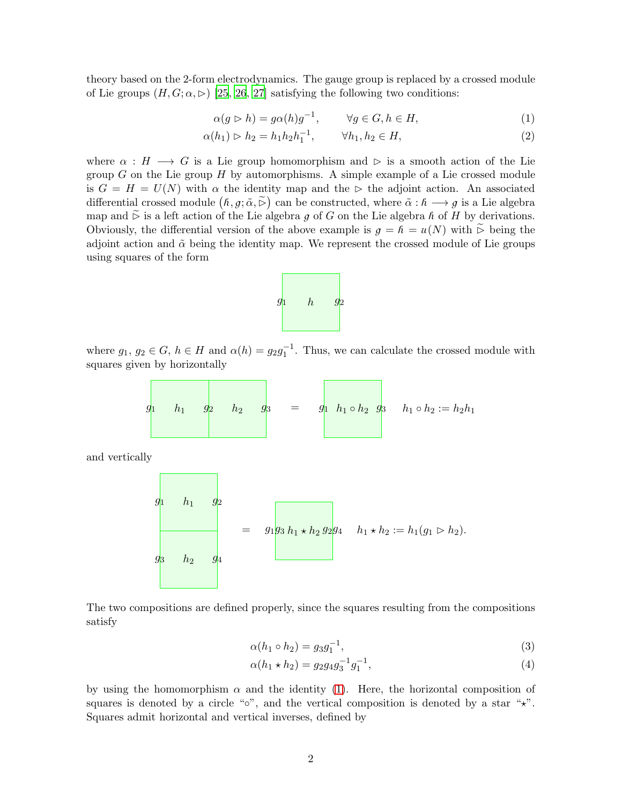theory based on the 2-form electrodynamics. The gauge group is replaced by a crossed module of Lie groups  $(H, G; \alpha, \triangleright)$  [\[25](#page-28-13), [26,](#page-28-14) [27](#page-28-15)] satisfying the following two conditions:

$$
\alpha(g \rhd h) = g\alpha(h)g^{-1}, \qquad \forall g \in G, h \in H,
$$
\n(1)

$$
\alpha(h_1) \rhd h_2 = h_1 h_2 h_1^{-1}, \qquad \forall h_1, h_2 \in H,
$$
\n(2)

where  $\alpha : H \longrightarrow G$  is a Lie group homomorphism and  $\triangleright$  is a smooth action of the Lie group  $G$  on the Lie group  $H$  by automorphisms. A simple example of a Lie crossed module is  $G = H = U(N)$  with  $\alpha$  the identity map and the ⊳ the adjoint action. An associated differential crossed module  $(h, g; \tilde{\alpha}, \tilde{\triangleright})$  can be constructed, where  $\tilde{\alpha}: h \longrightarrow g$  is a Lie algebra map and  $\stackrel{\sim}{\triangleright}$  is a left action of the Lie algebra g of G on the Lie algebra h of H by derivations. Obviously, the differential version of the above example is  $g = h = u(N)$  with  $\tilde{\triangleright}$  being the adjoint action and  $\tilde{\alpha}$  being the identity map. We represent the crossed module of Lie groups using squares of the form



where  $g_1, g_2 \in G$ ,  $h \in H$  and  $\alpha(h) = g_2 g_1^{-1}$ . Thus, we can calculate the crossed module with squares given by horizontally

$$
g_1 \qquad h_1 \qquad g_2 \qquad h_2 \qquad g_3 \qquad = \qquad g_1 \qquad h_1 \circ h_2 \qquad g_3 \qquad h_1 \circ h_2 := h_2 h_1
$$

and vertically



The two compositions are defined properly, since the squares resulting from the compositions satisfy

$$
\alpha(h_1 \circ h_2) = g_3 g_1^{-1},\tag{3}
$$

$$
\alpha(h_1 \star h_2) = g_2 g_4 g_3^{-1} g_1^{-1},\tag{4}
$$

by using the homomorphism  $\alpha$  and the identity [\(1\)](#page-18-0). Here, the horizontal composition of squares is denoted by a circle "∘", and the vertical composition is denoted by a star " $\star$ ". Squares admit horizontal and vertical inverses, defined by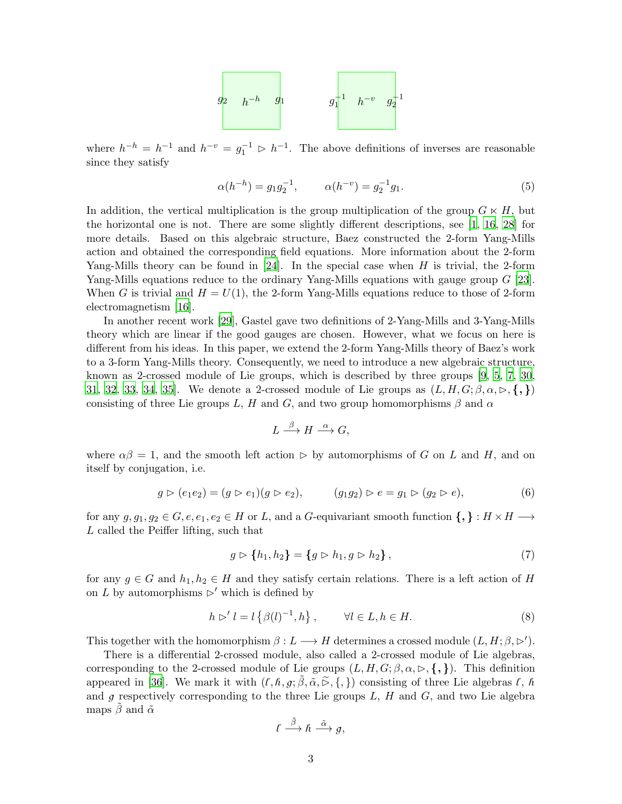

where  $h^{-h} = h^{-1}$  and  $h^{-v} = g_1^{-1} \triangleright h^{-1}$ . The above definitions of inverses are reasonable since they satisfy

$$
\alpha(h^{-h}) = g_1 g_2^{-1}, \qquad \alpha(h^{-v}) = g_2^{-1} g_1. \tag{5}
$$

In addition, the vertical multiplication is the group multiplication of the group  $G \ltimes H$ , but the horizontal one is not. There are some slightly different descriptions, see  $[1, 16, 28]$  $[1, 16, 28]$  $[1, 16, 28]$  $[1, 16, 28]$  for more details. Based on this algebraic structure, Baez constructed the 2-form Yang-Mills action and obtained the corresponding field equations. More information about the 2-form Yang-Mills theory can be found in  $[24]$ . In the special case when H is trivial, the 2-form Yang-Mills equations reduce to the ordinary Yang-Mills equations with gauge group G [\[23\]](#page-28-11). When G is trivial and  $H = U(1)$ , the 2-form Yang-Mills equations reduce to those of 2-form electromagnetism [\[16\]](#page-28-5).

In another recent work [\[29](#page-28-17)], Gastel gave two definitions of 2-Yang-Mills and 3-Yang-Mills theory which are linear if the good gauges are chosen. However, what we focus on here is different from his ideas. In this paper, we extend the 2-form Yang-Mills theory of Baez's work to a 3-form Yang-Mills theory. Consequently, we need to introduce a new algebraic structure, known as 2-crossed module of Lie groups, which is described by three groups [\[9,](#page-27-7) [5](#page-27-4), 7, [30,](#page-28-18) [31,](#page-28-19) [32,](#page-28-20) [33](#page-28-21), [34](#page-28-22), [35\]](#page-28-23). We denote a 2-crossed module of Lie groups as  $(L, H, G; \beta, \alpha, \triangleright, \{,\})$ consisting of three Lie groups L, H and G, and two group homomorphisms  $\beta$  and  $\alpha$ 

$$
L \stackrel{\beta}{\longrightarrow} H \stackrel{\alpha}{\longrightarrow} G,
$$

where  $\alpha\beta = 1$ , and the smooth left action  $\triangleright$  by automorphisms of G on L and H, and on itself by conjugation, i.e.

$$
g \triangleright (e_1 e_2) = (g \triangleright e_1)(g \triangleright e_2), \qquad (g_1 g_2) \triangleright e = g_1 \triangleright (g_2 \triangleright e), \tag{6}
$$

for any  $g, g_1, g_2 \in G, e, e_1, e_2 \in H$  or L, and a G-equivariant smooth function  $\{,\} : H \times H \longrightarrow$ L called the Peiffer lifting, such that

$$
g \triangleright \{h_1, h_2\} = \{g \triangleright h_1, g \triangleright h_2\},\tag{7}
$$

for any  $g \in G$  and  $h_1, h_2 \in H$  and they satisfy certain relations. There is a left action of H on L by automorphisms  $\triangleright'$  which is defined by

$$
h \rhd' l = l \left\{ \beta(l)^{-1}, h \right\}, \qquad \forall l \in L, h \in H. \tag{8}
$$

This together with the homomorphism  $\beta: L \longrightarrow H$  determines a crossed module  $(L, H; \beta, \triangleright')$ .

There is a differential 2-crossed module, also called a 2-crossed module of Lie algebras, corresponding to the 2-crossed module of Lie groups  $(L, H, G; \beta, \alpha, \rhd, \{,\})$ . This definition appeared in [\[36\]](#page-28-24). We mark it with  $(l, \hbar, g; \beta, \tilde{\alpha}, \tilde{\beta}, \{, \})$  consisting of three Lie algebras  $l, \hbar$ and  $g$  respectively corresponding to the three Lie groups  $L, H$  and  $G$ , and two Lie algebra maps  $\tilde{\beta}$  and  $\tilde{\alpha}$ 

$$
\ell \stackrel{\tilde{\beta}}{\longrightarrow} \hbar \stackrel{\tilde{\alpha}}{\longrightarrow} g,
$$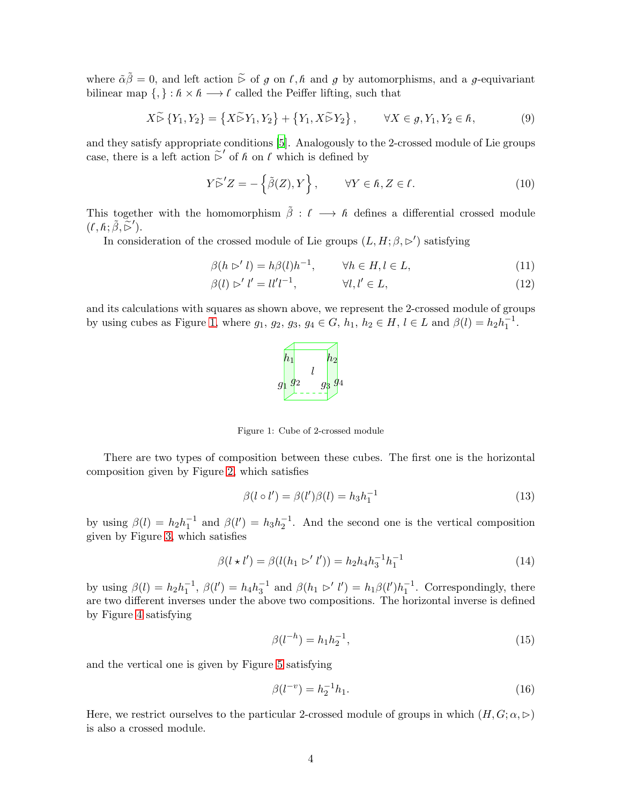where  $\tilde{\alpha}\tilde{\beta}=0$ , and left action  $\tilde{\triangleright}$  of g on  $\ell, \tilde{\kappa}$  and g by automorphisms, and a g-equivariant bilinear map  $\{,\} : \hbar \times \hbar \longrightarrow \ell$  called the Peiffer lifting, such that

$$
X \widetilde{\triangleright} \{Y_1, Y_2\} = \{X \widetilde{\triangleright} Y_1, Y_2\} + \{Y_1, X \widetilde{\triangleright} Y_2\}, \qquad \forall X \in g, Y_1, Y_2 \in \hbar,
$$
\n
$$
(9)
$$

and they satisfy appropriate conditions [\[5](#page-27-4)]. Analogously to the 2-crossed module of Lie groups case, there is a left action  $\tilde{\triangleright}'$  of  $\hbar$  on  $\ell$  which is defined by

$$
Y \widetilde{\triangleright}^{\prime} Z = -\left\{ \widetilde{\beta}(Z), Y \right\}, \qquad \forall Y \in \hbar, Z \in \ell.
$$
 (10)

This together with the homomorphism  $\tilde{\beta}: \ell \longrightarrow \hat{\ell}$  defines a differential crossed module  $(\ell, \hbar; \tilde{\beta}, \tilde{\rhd}')$ .

In consideration of the crossed module of Lie groups  $(L, H; \beta, \rhd')$  satisfying

$$
\beta(h \rhd' l) = h\beta(l)h^{-1}, \qquad \forall h \in H, l \in L,\tag{11}
$$

$$
\beta(l) \rhd' l' = ll'l^{-1}, \qquad \forall l, l' \in L,\tag{12}
$$

and its calculations with squares as shown above, we represent the 2-crossed module of groups by using cubes as Figure [1,](#page-19-0) where  $g_1, g_2, g_3, g_4 \in G$ ,  $h_1, h_2 \in H$ ,  $l \in L$  and  $\beta(l) = h_2 h_1^{-1}$ .



Figure 1: Cube of 2-crossed module

There are two types of composition between these cubes. The first one is the horizontal composition given by Figure [2,](#page-19-1) which satisfies

$$
\beta(l \circ l') = \beta(l')\beta(l) = h_3h_1^{-1}
$$
\n(13)

by using  $\beta(l) = h_2 h_1^{-1}$  and  $\beta(l') = h_3 h_2^{-1}$ . And the second one is the vertical composition given by Figure [3,](#page-19-2) which satisfies

$$
\beta(l \star l') = \beta(l(h_1 \rhd l')) = h_2 h_4 h_3^{-1} h_1^{-1}
$$
\n(14)

by using  $\beta(l) = h_2 h_1^{-1}$ ,  $\beta(l') = h_4 h_3^{-1}$  and  $\beta(h_1 \triangleright' l') = h_1 \beta(l') h_1^{-1}$ . Correspondingly, there are two different inverses under the above two compositions. The horizontal inverse is defined by Figure [4](#page-20-0) satisfying

$$
\beta(l^{-h}) = h_1 h_2^{-1},\tag{15}
$$

and the vertical one is given by Figure [5](#page-20-1) satisfying

$$
\beta(l^{-v}) = h_2^{-1}h_1.
$$
\n(16)

Here, we restrict ourselves to the particular 2-crossed module of groups in which  $(H, G; \alpha, \triangleright)$ is also a crossed module.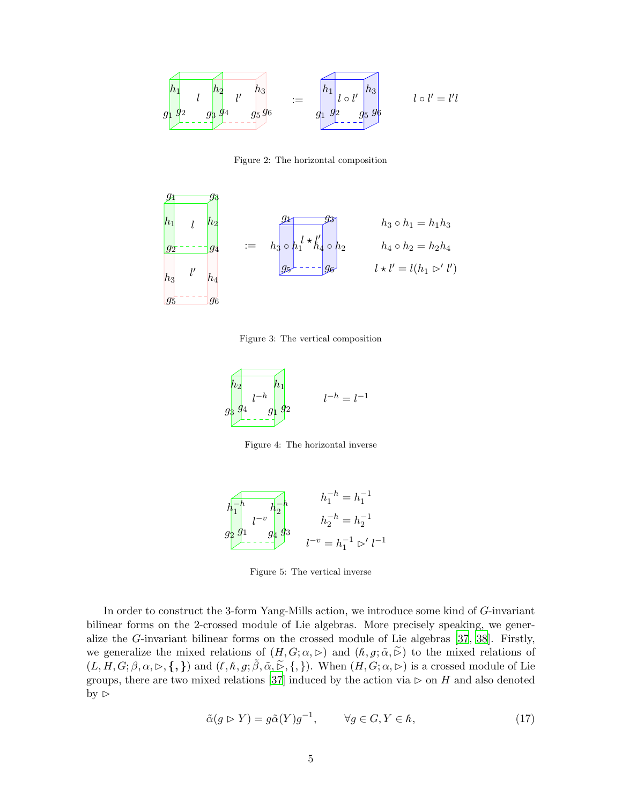

Figure 2: The horizontal composition



Figure 3: The vertical composition



Figure 4: The horizontal inverse



Figure 5: The vertical inverse

In order to construct the 3-form Yang-Mills action, we introduce some kind of G-invariant bilinear forms on the 2-crossed module of Lie algebras. More precisely speaking, we generalize the G-invariant bilinear forms on the crossed module of Lie algebras [\[37,](#page-28-25) [38](#page-28-26)]. Firstly, we generalize the mixed relations of  $(H, G; \alpha, \triangleright)$  and  $(h, g; \tilde{\alpha}, \tilde{\triangleright})$  to the mixed relations of  $(L, H, G; \beta, \alpha, \rhd, \{, \})$  and  $(\ell, \hbar, g; \tilde{\beta}, \tilde{\alpha}, \tilde{\rhd}, \{, \})$ . When  $(H, G; \alpha, \rhd)$  is a crossed module of Lie groups, there are two mixed relations [\[37](#page-28-25)] induced by the action via  $\triangleright$  on H and also denoted by  $\triangleright$ 

$$
\tilde{\alpha}(g \triangleright Y) = g\tilde{\alpha}(Y)g^{-1}, \qquad \forall g \in G, Y \in \hbar,
$$
\n<sup>(17)</sup>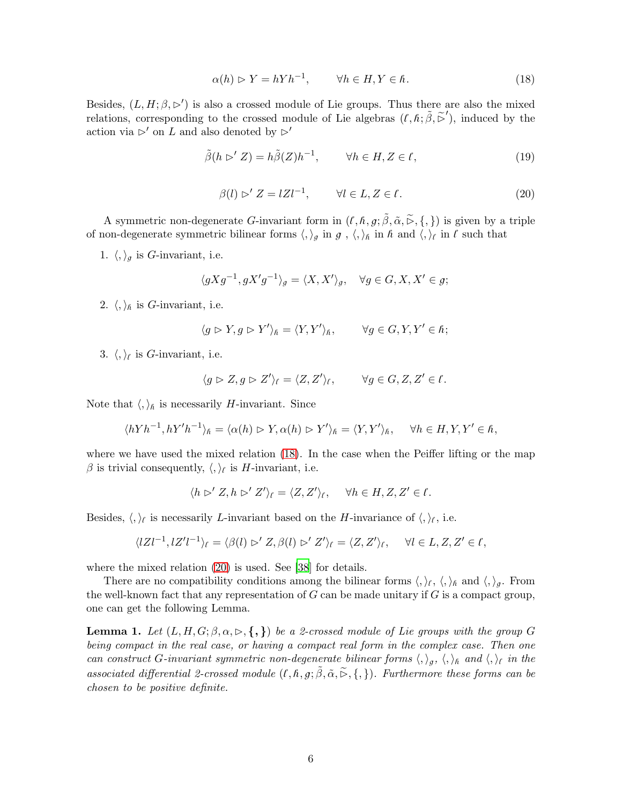$$
\alpha(h) \rhd Y = hYh^{-1}, \qquad \forall h \in H, Y \in \hbar. \tag{18}
$$

Besides,  $(L, H; \beta, \triangleright')$  is also a crossed module of Lie groups. Thus there are also the mixed relations, corresponding to the crossed module of Lie algebras  $(\ell, \hat{\beta}, \tilde{\beta}')$ , induced by the action via ⊳′ on L and also denoted by  $\triangleright'$ 

$$
\tilde{\beta}(h \rhd' Z) = h\tilde{\beta}(Z)h^{-1}, \qquad \forall h \in H, Z \in \ell,
$$
\n(19)

$$
\beta(l) \triangleright' Z = lZl^{-1}, \qquad \forall l \in L, Z \in \ell.
$$
\n
$$
(20)
$$

A symmetric non-degenerate G-invariant form in  $(\ell, \hbar, g; \tilde{\beta}, \tilde{\alpha}, \tilde{\triangleright}, \{,\})$  is given by a triple of non-degenerate symmetric bilinear forms  $\langle,\rangle_g$  in g,  $\langle,\rangle_h$  in h and  $\langle,\rangle_f$  in l such that

1.  $\langle,\rangle_g$  is *G*-invariant, i.e.

$$
\langle gXg^{-1}, gX'g^{-1}\rangle_g = \langle X, X'\rangle_g, \quad \forall g \in G, X, X' \in g;
$$

2.  $\langle, \rangle_{\hat{\hbar}}$  is *G*-invariant, i.e.

$$
\langle g \rhd Y, g \rhd Y' \rangle_{\hslash} = \langle Y, Y' \rangle_{\hslash}, \qquad \forall g \in G, Y, Y' \in \hslash;
$$

3.  $\langle,\rangle_{\ell}$  is *G*-invariant, i.e.

$$
\langle g \rhd Z, g \rhd Z' \rangle_{\ell} = \langle Z, Z' \rangle_{\ell}, \qquad \forall g \in G, Z, Z' \in \ell.
$$

Note that  $\langle , \rangle_{\hbar}$  is necessarily *H*-invariant. Since

$$
\langle hYh^{-1}, hY'h^{-1}\rangle_{\hbar} = \langle \alpha(h) \rhd Y, \alpha(h) \rhd Y'\rangle_{\hbar} = \langle Y, Y'\rangle_{\hbar}, \quad \forall h \in H, Y, Y' \in \hbar,
$$

where we have used the mixed relation [\(18\)](#page-21-0). In the case when the Peiffer lifting or the map  $\beta$  is trivial consequently,  $\langle, \rangle_{\ell}$  is H-invariant, i.e.

$$
\langle h \rhd' Z, h \rhd' Z' \rangle_{\ell} = \langle Z, Z' \rangle_{\ell}, \quad \forall h \in H, Z, Z' \in \ell.
$$

Besides,  $\langle, \rangle_{\ell}$  is necessarily *L*-invariant based on the *H*-invariance of  $\langle, \rangle_{\ell}$ , i.e.

$$
\langle lZl^{-1}, lZ'l^{-1}\rangle_{\ell} = \langle \beta(l) \rhd Z, \beta(l) \rhd Z'\rangle_{\ell} = \langle Z, Z'\rangle_{\ell}, \quad \forall l \in L, Z, Z' \in \ell,
$$

where the mixed relation [\(20\)](#page-21-1) is used. See [\[38](#page-28-26)] for details.

There are no compatibility conditions among the bilinear forms  $\langle, \rangle_{\ell}, \langle, \rangle_{\hbar}$  and  $\langle, \rangle_{g}$ . From the well-known fact that any representation of  $G$  can be made unitary if  $G$  is a compact group, one can get the following Lemma.

**Lemma 1.** Let  $(L, H, G; \beta, \alpha, \triangleright, \{,\})$  be a 2-crossed module of Lie groups with the group G being compact in the real case, or having a compact real form in the complex case. Then one can construct G-invariant symmetric non-degenerate bilinear forms  $\langle , \rangle_g$ ,  $\langle , \rangle_\hbar$  and  $\langle , \rangle_\ell$  in the associated differential 2-crossed module  $(\ell, \hbar, g; \tilde{\beta}, \tilde{\alpha}, \tilde{\triangleright}, \{, \})$ . Furthermore these forms can be chosen to be positive definite.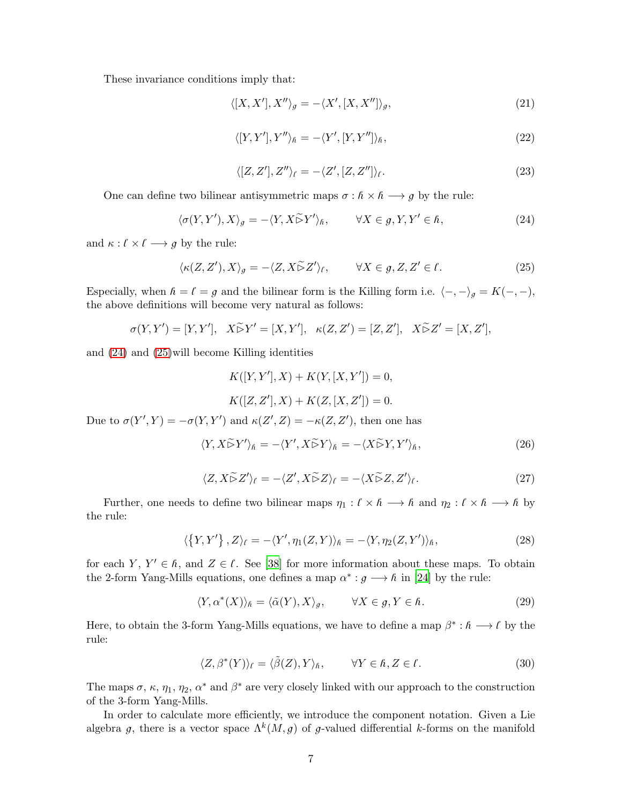These invariance conditions imply that:

$$
\langle [X, X'], X'' \rangle_g = -\langle X', [X, X''] \rangle_g,\tag{21}
$$

$$
\langle [Y, Y'], Y'' \rangle_{\hbar} = -\langle Y', [Y, Y''] \rangle_{\hbar}, \qquad (22)
$$

$$
\langle [Z, Z'], Z'' \rangle_{\ell} = -\langle Z', [Z, Z''] \rangle_{\ell}.
$$
\n(23)

One can define two bilinear antisymmetric maps  $\sigma : \hat{h} \times \hat{h} \longrightarrow g$  by the rule:

$$
\langle \sigma(Y, Y'), X \rangle_g = -\langle Y, X \tilde{\rhd} Y' \rangle_{\hbar}, \qquad \forall X \in g, Y, Y' \in \hbar,
$$
\n(24)

and  $\kappa : \ell \times \ell \longrightarrow g$  by the rule:

$$
\langle \kappa(Z, Z'), X \rangle_g = -\langle Z, X \widetilde{\triangleright} Z' \rangle_f, \qquad \forall X \in g, Z, Z' \in \ell.
$$
 (25)

Especially, when  $h = \ell = g$  and the bilinear form is the Killing form i.e.  $\langle -, -\rangle_g = K(-, -),$ the above definitions will become very natural as follows:

$$
\sigma(Y, Y') = [Y, Y'], \quad X \widetilde{\triangleright} Y' = [X, Y'], \quad \kappa(Z, Z') = [Z, Z'], \quad X \widetilde{\triangleright} Z' = [X, Z'],
$$

and [\(24\)](#page-22-0) and [\(25\)](#page-22-1)will become Killing identities

$$
K([Y, Y'], X) + K(Y, [X, Y']) = 0,
$$
  

$$
K([Z, Z'], X) + K(Z, [X, Z']) = 0.
$$

Due to  $\sigma(Y', Y) = -\sigma(Y, Y')$  and  $\kappa(Z', Z) = -\kappa(Z, Z')$ , then one has

$$
\langle Y, X \tilde{\rhd} Y' \rangle_{\hbar} = -\langle Y', X \tilde{\rhd} Y \rangle_{\hbar} = -\langle X \tilde{\rhd} Y, Y' \rangle_{\hbar},\tag{26}
$$

$$
\langle Z, X\widetilde{\triangleright} Z' \rangle_{\ell} = -\langle Z', X\widetilde{\triangleright} Z \rangle_{\ell} = -\langle X\widetilde{\triangleright} Z, Z' \rangle_{\ell}.
$$
 (27)

Further, one needs to define two bilinear maps  $\eta_1 : \ell \times \ell \longrightarrow \ell$  and  $\eta_2 : \ell \times \ell \longrightarrow \ell$  by the rule:

$$
\langle \{Y, Y'\}, Z \rangle_{\ell} = -\langle Y', \eta_1(Z, Y) \rangle_{\hbar} = -\langle Y, \eta_2(Z, Y') \rangle_{\hbar},\tag{28}
$$

for each Y,  $Y' \in \hbar$ , and  $Z \in \ell$ . See [\[38\]](#page-28-26) for more information about these maps. To obtain the 2-form Yang-Mills equations, one defines a map  $\alpha^* : g \longrightarrow h$  in [\[24\]](#page-28-12) by the rule:

$$
\langle Y, \alpha^*(X) \rangle_{\hbar} = \langle \tilde{\alpha}(Y), X \rangle_g, \qquad \forall X \in g, Y \in \hbar.
$$
 (29)

Here, to obtain the 3-form Yang-Mills equations, we have to define a map  $\beta^* : \hbar \longrightarrow \ell$  by the rule:

$$
\langle Z, \beta^*(Y) \rangle_{\ell} = \langle \tilde{\beta}(Z), Y \rangle_{\hbar}, \qquad \forall Y \in \hbar, Z \in \ell.
$$
 (30)

The maps  $\sigma$ ,  $\kappa$ ,  $\eta_1$ ,  $\eta_2$ ,  $\alpha^*$  and  $\beta^*$  are very closely linked with our approach to the construction of the 3-form Yang-Mills.

In order to calculate more efficiently, we introduce the component notation. Given a Lie algebra g, there is a vector space  $\Lambda^k(M, g)$  of g-valued differential k-forms on the manifold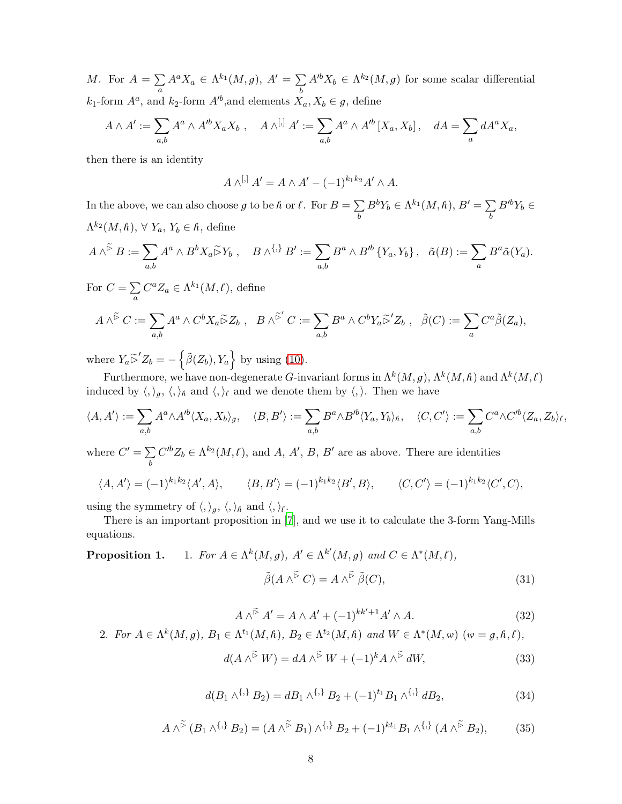M. For  $A = \sum$  $\sum_{a} A^{a} X_{a} \in \Lambda^{k_{1}}(M, g), A' = \sum_{b}$ b  $A'^b X_b \in \Lambda^{k_2}(M, g)$  for some scalar differential  $k_1$ -form  $A^a$ , and  $k_2$ -form  $A'^b$ , and elements  $X_a, X_b \in \mathfrak{g}$ , define

$$
A \wedge A' := \sum_{a,b} A^a \wedge A'^b X_a X_b , \quad A \wedge^{[,]} A' := \sum_{a,b} A^a \wedge A'^b [X_a, X_b], \quad dA = \sum_a dA^a X_a,
$$

then there is an identity

$$
A \wedge^{[,} A' = A \wedge A' - (-1)^{k_1 k_2} A' \wedge A.
$$

In the above, we can also choose g to be  $h$  or  $\ell$ . For  $B = \sum$ b  $B^b Y_b \in \Lambda^{k_1}(M,\hbar), B' = \sum$ b  $B'^b Y_b \in$  $\Lambda^{k_2}(M,\hbar), \,\forall \, Y_a, Y_b \in \hbar,$  define

$$
A\wedge^{\widetilde{\triangleright}} B := \sum_{a,b} A^a \wedge B^b X_a \widetilde{\triangleright} Y_b , \quad B \wedge^{\{\,\}} B' := \sum_{a,b} B^a \wedge B'^b \{ Y_a, Y_b \} , \quad \widetilde{\alpha}(B) := \sum_a B^a \widetilde{\alpha}(Y_a).
$$

For  $C = \sum$ a  $C^a Z_a \in \Lambda^{k_1}(M,\ell)$ , define

$$
A \wedge^{\widetilde{\triangleright}} C := \sum_{a,b} A^a \wedge C^b X_a \widetilde{\triangleright} Z_b , \quad B \wedge^{\widetilde{\triangleright}'} C := \sum_{a,b} B^a \wedge C^b Y_a \widetilde{\triangleright}' Z_b , \quad \widetilde{\beta}(C) := \sum_a C^a \widetilde{\beta}(Z_a),
$$

where  $Y_a \tilde{\triangleright}' Z_b = -\left\{ \tilde{\beta}(Z_b), Y_a \right\}$  by using [\(10\)](#page-20-2).

Furthermore, we have non-degenerate G-invariant forms in  $\Lambda^k(M, g)$ ,  $\Lambda^k(M, \hbar)$  and  $\Lambda^k(M, \ell)$ induced by  $\langle,\rangle_g, \langle,\rangle_h$  and  $\langle,\rangle_{\ell}$  and we denote them by  $\langle,\rangle$ . Then we have

$$
\langle A, A' \rangle := \sum_{a,b} A^a \wedge A'^b \langle X_a, X_b \rangle_g, \quad \langle B, B' \rangle := \sum_{a,b} B^a \wedge B'^b \langle Y_a, Y_b \rangle_h, \quad \langle C, C' \rangle := \sum_{a,b} C^a \wedge C'^b \langle Z_a, Z_b \rangle_f,
$$

where  $C' = \sum$ b  $C'^{b}Z_{b} \in \Lambda^{k_{2}}(M,\ell)$ , and A, A', B, B' are as above. There are identities

$$
\langle A, A' \rangle = (-1)^{k_1 k_2} \langle A', A \rangle, \qquad \langle B, B' \rangle = (-1)^{k_1 k_2} \langle B', B \rangle, \qquad \langle C, C' \rangle = (-1)^{k_1 k_2} \langle C', C \rangle,
$$

using the symmetry of  $\langle,\rangle_g,\langle,\rangle_h$  and  $\langle,\rangle_f$ .

There is an important proposition in [7], and we use it to calculate the 3-form Yang-Mills equations.

**Proposition 1.** 1. For 
$$
A \in \Lambda^k(M, g)
$$
,  $A' \in \Lambda^{k'}(M, g)$  and  $C \in \Lambda^*(M, \ell)$ ,  
\n
$$
\tilde{\beta}(A \wedge^{\tilde{\triangleright}} C) = A \wedge^{\tilde{\triangleright}} \tilde{\beta}(C),
$$
\n(31)

$$
A \wedge^{\widetilde{\triangleright}} A' = A \wedge A' + (-1)^{kk'+1} A' \wedge A. \tag{32}
$$

2. For 
$$
A \in \Lambda^k(M, g)
$$
,  $B_1 \in \Lambda^{t_1}(M, \hbar)$ ,  $B_2 \in \Lambda^{t_2}(M, \hbar)$  and  $W \in \Lambda^*(M, \omega)$  ( $\omega = g, \hbar, \ell$ ),

$$
d(A \wedge^{\widetilde{\rhd}} W) = dA \wedge^{\widetilde{\rhd}} W + (-1)^k A \wedge^{\widetilde{\rhd}} dW,\tag{33}
$$

$$
d(B_1 \wedge^{\{,\}} B_2) = dB_1 \wedge^{\{,\}} B_2 + (-1)^{t_1} B_1 \wedge^{\{,\}} dB_2,
$$
\n(34)

$$
A \wedge^{\tilde{>}} (B_1 \wedge^{\{,\}} B_2) = (A \wedge^{\tilde{>}} B_1) \wedge^{\{,\}} B_2 + (-1)^{kt_1} B_1 \wedge^{\{,\}} (A \wedge^{\tilde{>}} B_2), \tag{35}
$$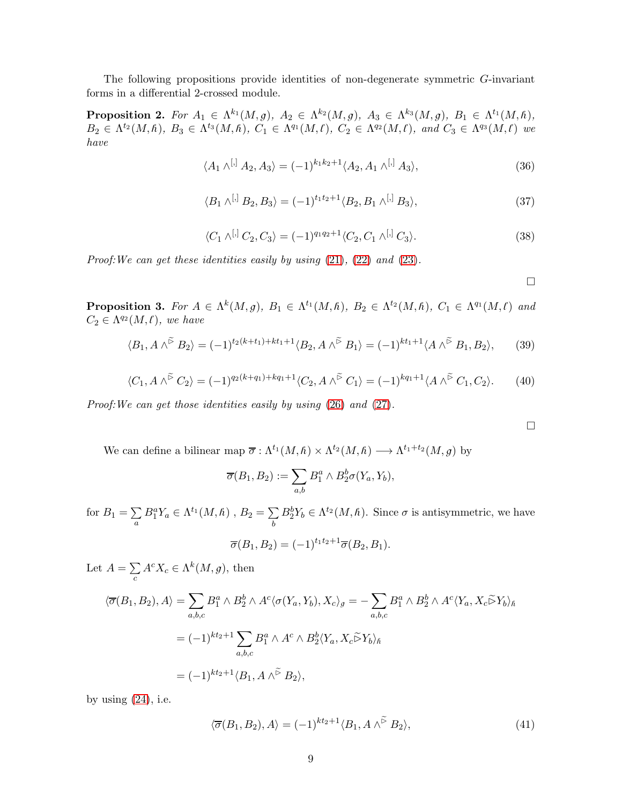The following propositions provide identities of non-degenerate symmetric G-invariant forms in a differential 2-crossed module.

**Proposition 2.** For  $A_1 \in \Lambda^{k_1}(M,g)$ ,  $A_2 \in \Lambda^{k_2}(M,g)$ ,  $A_3 \in \Lambda^{k_3}(M,g)$ ,  $B_1 \in \Lambda^{t_1}(M,h)$ ,  $B_2 \in \Lambda^{t_2}(M,\hbar), B_3 \in \Lambda^{t_3}(M,\hbar), C_1 \in \Lambda^{q_1}(M,\ell), C_2 \in \Lambda^{q_2}(M,\ell), and C_3 \in \Lambda^{q_3}(M,\ell)$  we have

$$
\langle A_1 \wedge^{[,]} A_2, A_3 \rangle = (-1)^{k_1 k_2 + 1} \langle A_2, A_1 \wedge^{[,]} A_3 \rangle,
$$
\n(36)

$$
\langle B_1 \wedge^{[,]} B_2, B_3 \rangle = (-1)^{t_1 t_2 + 1} \langle B_2, B_1 \wedge^{[,]} B_3 \rangle,
$$
\n(37)

$$
\langle C_1 \wedge^{[,} C_2, C_3 \rangle = (-1)^{q_1 q_2 + 1} \langle C_2, C_1 \wedge^{[,} C_3 \rangle. \tag{38}
$$

Proof:We can get these identities easily by using [\(21\)](#page-21-2), [\(22\)](#page-22-2) and [\(23\)](#page-22-3).

 $\Box$ 

 $\Box$ 

**Proposition 3.** For  $A \in \Lambda^k(M, g)$ ,  $B_1 \in \Lambda^{t_1}(M, h)$ ,  $B_2 \in \Lambda^{t_2}(M, h)$ ,  $C_1 \in \Lambda^{q_1}(M, l)$  and  $C_2 \in \Lambda^{q_2}(M,\ell)$ , we have

$$
\langle B_1, A \wedge^{\widetilde{\triangleright}} B_2 \rangle = (-1)^{t_2(k+t_1) + kt_1 + 1} \langle B_2, A \wedge^{\widetilde{\triangleright}} B_1 \rangle = (-1)^{kt_1 + 1} \langle A \wedge^{\widetilde{\triangleright}} B_1, B_2 \rangle, \qquad (39)
$$

$$
\langle C_1, A \wedge^{\tilde{\triangleright}} C_2 \rangle = (-1)^{q_2(k+q_1)+kq_1+1} \langle C_2, A \wedge^{\tilde{\triangleright}} C_1 \rangle = (-1)^{kq_1+1} \langle A \wedge^{\tilde{\triangleright}} C_1, C_2 \rangle. \tag{40}
$$

Proof:We can get those identities easily by using [\(26\)](#page-22-4) and [\(27\)](#page-22-5).

We can define a bilinear map  $\overline{\sigma} : \Lambda^{t_1}(M,\hbar) \times \Lambda^{t_2}(M,\hbar) \longrightarrow \Lambda^{t_1+t_2}(M,g)$  by

$$
\overline{\sigma}(B_1, B_2) := \sum_{a,b} B_1^a \wedge B_2^b \sigma(Y_a, Y_b),
$$

for  $B_1 = \sum$ a  $B_1^a Y_a \in \Lambda^{t_1}(M,\hbar)$  ,  $B_2 = \sum$ b  $B_2^b Y_b \in \Lambda^{t_2}(M,\hbar)$ . Since  $\sigma$  is antisymmetric, we have

$$
\overline{\sigma}(B_1, B_2) = (-1)^{t_1t_2+1} \overline{\sigma}(B_2, B_1).
$$

Let  $A = \sum$  $\sum_{c} A^{c} X_{c} \in \Lambda^{k}(M, g)$ , then

$$
\langle \overline{\sigma}(B_1, B_2), A \rangle = \sum_{a,b,c} B_1^a \wedge B_2^b \wedge A^c \langle \sigma(Y_a, Y_b), X_c \rangle_g = -\sum_{a,b,c} B_1^a \wedge B_2^b \wedge A^c \langle Y_a, X_c \widetilde{\rhd} Y_b \rangle_h
$$
  
=  $(-1)^{kt_2+1} \sum_{a,b,c} B_1^a \wedge A^c \wedge B_2^b \langle Y_a, X_c \widetilde{\rhd} Y_b \rangle_h$   
=  $(-1)^{kt_2+1} \langle B_1, A \wedge \widetilde{\rhd} B_2 \rangle$ ,

by using  $(24)$ , i.e.

$$
\langle \overline{\sigma}(B_1, B_2), A \rangle = (-1)^{kt_2 + 1} \langle B_1, A \wedge^{\widetilde{\triangleright}} B_2 \rangle, \tag{41}
$$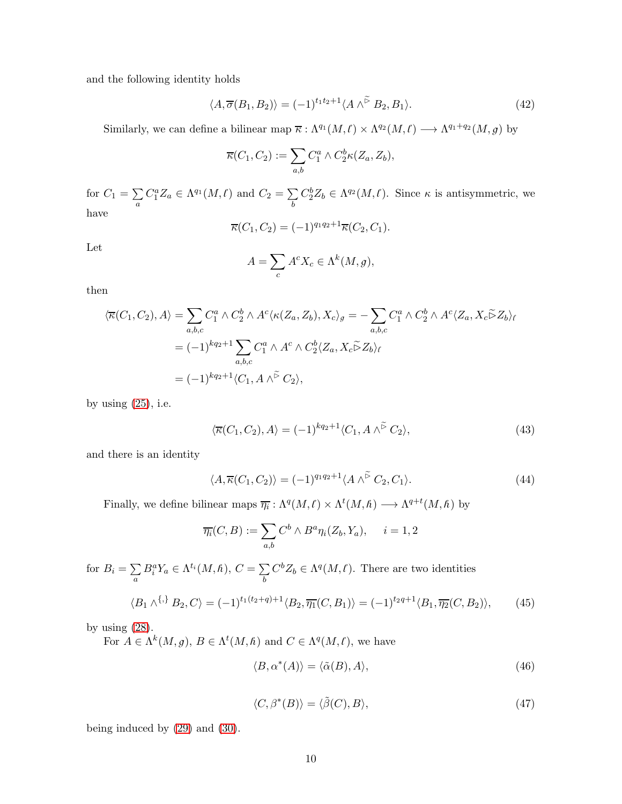and the following identity holds

$$
\langle A, \overline{\sigma}(B_1, B_2) \rangle = (-1)^{t_1 t_2 + 1} \langle A \wedge^{\widetilde{\triangleright}} B_2, B_1 \rangle. \tag{42}
$$

Similarly, we can define a bilinear map  $\overline{\kappa} : \Lambda^{q_1}(M,\ell) \times \Lambda^{q_2}(M,\ell) \longrightarrow \Lambda^{q_1+q_2}(M,g)$  by

$$
\overline{\kappa}(C_1, C_2) := \sum_{a,b} C_1^a \wedge C_2^b \kappa(Z_a, Z_b),
$$

for  $C_1 = \sum$ a  $C_1^a Z_a \in \Lambda^{q_1}(M,\ell)$  and  $C_2 = \sum$ b  $C_2^b Z_b \in \Lambda^{q_2}(M,\ell)$ . Since  $\kappa$  is antisymmetric, we have

$$
\overline{\kappa}(C_1, C_2) = (-1)^{q_1 q_2 + 1} \overline{\kappa}(C_2, C_1).
$$

Let

$$
A = \sum_{c} A^{c} X_{c} \in \Lambda^{k}(M, g),
$$

then

$$
\langle \overline{\kappa}(C_1, C_2), A \rangle = \sum_{a,b,c} C_1^a \wedge C_2^b \wedge A^c \langle \kappa(Z_a, Z_b), X_c \rangle_g = -\sum_{a,b,c} C_1^a \wedge C_2^b \wedge A^c \langle Z_a, X_c \widetilde{\triangleright} Z_b \rangle_f
$$
  
=  $(-1)^{kq_2+1} \sum_{a,b,c} C_1^a \wedge A^c \wedge C_2^b \langle Z_a, X_c \widetilde{\triangleright} Z_b \rangle_f$   
=  $(-1)^{kq_2+1} \langle C_1, A \wedge \widetilde{\triangleright} C_2 \rangle$ ,

by using  $(25)$ , i.e.

$$
\langle \overline{\kappa}(C_1, C_2), A \rangle = (-1)^{kq_2+1} \langle C_1, A \wedge^{\widetilde{\triangleright}} C_2 \rangle, \tag{43}
$$

and there is an identity

$$
\langle A, \overline{\kappa}(C_1, C_2) \rangle = (-1)^{q_1 q_2 + 1} \langle A \wedge^{\widetilde{\triangleright}} C_2, C_1 \rangle. \tag{44}
$$

Finally, we define bilinear maps  $\overline{\eta_i} : \Lambda^q(M, \ell) \times \Lambda^t(M, \hbar) \longrightarrow \Lambda^{q+t}(M, \hbar)$  by

$$
\overline{\eta_i}(C, B) := \sum_{a,b} C^b \wedge B^a \eta_i(Z_b, Y_a), \quad i = 1, 2
$$

for  $B_i = \sum$ a  $B_i^a Y_a \in \Lambda^{t_i}(M,\hbar), C = \sum$ b  $C^b Z_b \in \Lambda^q(M, \ell)$ . There are two identities

$$
\langle B_1 \wedge^{\{, \}\} B_2, C \rangle = (-1)^{t_1(t_2 + q) + 1} \langle B_2, \overline{\eta_1}(C, B_1) \rangle = (-1)^{t_2 q + 1} \langle B_1, \overline{\eta_2}(C, B_2) \rangle, \tag{45}
$$

by using  $(28)$ .

For  $A \in \Lambda^k(M, g)$ ,  $B \in \Lambda^t(M, \hbar)$  and  $C \in \Lambda^q(M, \ell)$ , we have

$$
\langle B, \alpha^*(A) \rangle = \langle \tilde{\alpha}(B), A \rangle, \tag{46}
$$

$$
\langle C, \beta^*(B) \rangle = \langle \tilde{\beta}(C), B \rangle, \tag{47}
$$

being induced by [\(29\)](#page-22-7) and [\(30\)](#page-23-0).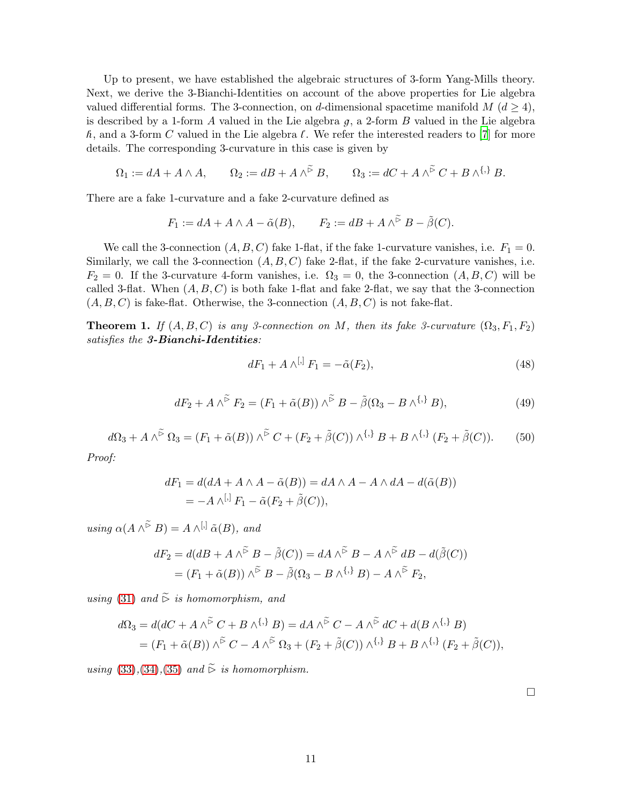Up to present, we have established the algebraic structures of 3-form Yang-Mills theory. Next, we derive the 3-Bianchi-Identities on account of the above properties for Lie algebra valued differential forms. The 3-connection, on d-dimensional spacetime manifold  $M$  ( $d \geq 4$ ), is described by a 1-form A valued in the Lie algebra  $g$ , a 2-form B valued in the Lie algebra  $h$ , and a 3-form C valued in the Lie algebra  $\ell$ . We refer the interested readers to [7] for more details. The corresponding 3-curvature in this case is given by

$$
\Omega_1:= dA + A\wedge A, \qquad \Omega_2:= dB + A\wedge^{\widetilde{\rhd}} B, \qquad \Omega_3:= dC + A\wedge^{\widetilde{\rhd}} C + B\wedge^{\{\,\}} B.
$$

There are a fake 1-curvature and a fake 2-curvature defined as

$$
F_1 := dA + A \wedge A - \tilde{\alpha}(B), \qquad F_2 := dB + A \wedge^{\tilde{\triangleright}} B - \tilde{\beta}(C).
$$

We call the 3-connection  $(A, B, C)$  fake 1-flat, if the fake 1-curvature vanishes, i.e.  $F_1 = 0$ . Similarly, we call the 3-connection  $(A, B, C)$  fake 2-flat, if the fake 2-curvature vanishes, i.e.  $F_2 = 0$ . If the 3-curvature 4-form vanishes, i.e.  $\Omega_3 = 0$ , the 3-connection  $(A, B, C)$  will be called 3-flat. When  $(A, B, C)$  is both fake 1-flat and fake 2-flat, we say that the 3-connection  $(A, B, C)$  is fake-flat. Otherwise, the 3-connection  $(A, B, C)$  is not fake-flat.

**Theorem 1.** If  $(A, B, C)$  is any 3-connection on M, then its fake 3-curvature  $(\Omega_3, F_1, F_2)$ satisfies the 3-Bianchi-Identities:

$$
dF_1 + A \wedge^{[,]} F_1 = -\tilde{\alpha}(F_2),\tag{48}
$$

$$
dF_2 + A \wedge^{\widetilde{\triangleright}} F_2 = (F_1 + \widetilde{\alpha}(B)) \wedge^{\widetilde{\triangleright}} B - \widetilde{\beta}(\Omega_3 - B \wedge^{\{\,\}} B), \tag{49}
$$

$$
d\Omega_3 + A \wedge^{\tilde{\triangleright}} \Omega_3 = (F_1 + \tilde{\alpha}(B)) \wedge^{\tilde{\triangleright}} C + (F_2 + \tilde{\beta}(C)) \wedge^{\{,\}} B + B \wedge^{\{,\}} (F_2 + \tilde{\beta}(C)). \tag{50}
$$

Proof:

$$
dF_1 = d(dA + A \wedge A - \tilde{\alpha}(B)) = dA \wedge A - A \wedge dA - d(\tilde{\alpha}(B))
$$
  
= 
$$
-A \wedge^{[,]} F_1 - \tilde{\alpha}(F_2 + \tilde{\beta}(C)),
$$

using  $\alpha(A \wedge^{\widetilde{\triangleright}} B) = A \wedge^{[,]} \tilde{\alpha}(B)$ , and

$$
dF_2 = d(dB + A \wedge^{\widetilde{\triangleright}} B - \widetilde{\beta}(C)) = dA \wedge^{\widetilde{\triangleright}} B - A \wedge^{\widetilde{\triangleright}} dB - d(\widetilde{\beta}(C))
$$
  
=  $(F_1 + \widetilde{\alpha}(B)) \wedge^{\widetilde{\triangleright}} B - \widetilde{\beta}(\Omega_3 - B \wedge^{\{\,\}} B) - A \wedge^{\widetilde{\triangleright}} F_2,$ 

using [\(31\)](#page-23-1) and  $\widetilde{\triangleright}$  is homomorphism, and

$$
d\Omega_3 = d(dC + A \wedge^{\tilde{\triangleright}} C + B \wedge^{\{\,\}} B) = dA \wedge^{\tilde{\triangleright}} C - A \wedge^{\tilde{\triangleright}} dC + d(B \wedge^{\{\,\}} B)
$$
  
=  $(F_1 + \tilde{\alpha}(B)) \wedge^{\tilde{\triangleright}} C - A \wedge^{\tilde{\triangleright}} \Omega_3 + (F_2 + \tilde{\beta}(C)) \wedge^{\{\,\}} B + B \wedge^{\{\,\}} (F_2 + \tilde{\beta}(C)),$ 

using [\(33\)](#page-23-2),[\(34\)](#page-24-0),[\(35\)](#page-24-1) and  $\widetilde{\triangleright}$  is homomorphism.

 $\Box$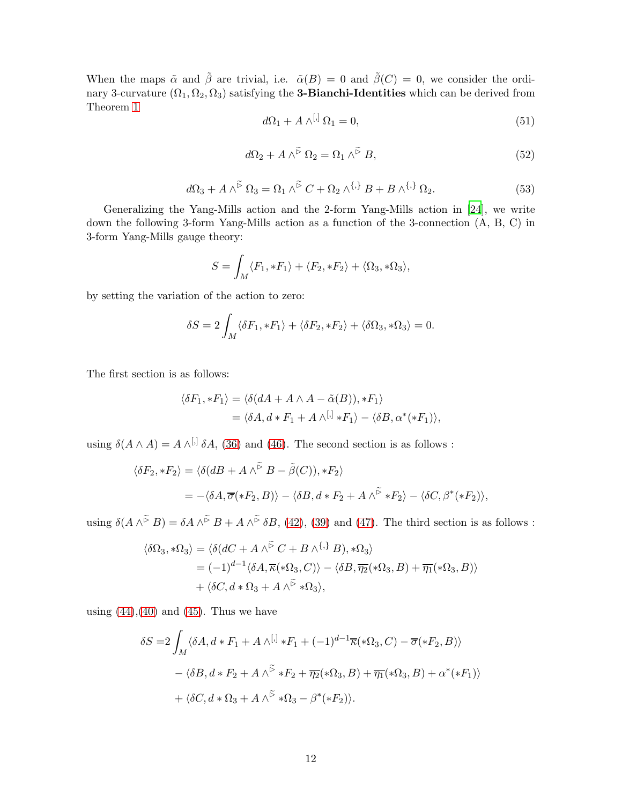When the maps  $\tilde{\alpha}$  and  $\tilde{\beta}$  are trivial, i.e.  $\tilde{\alpha}(B) = 0$  and  $\tilde{\beta}(C) = 0$ , we consider the ordinary 3-curvature  $(\Omega_1, \Omega_2, \Omega_3)$  satisfying the **3-Bianchi-Identities** which can be derived from Theorem [1](#page-24-2)

$$
d\Omega_1 + A \wedge^{[,} \Omega_1 = 0,\tag{51}
$$

$$
d\Omega_2 + A \wedge^{\widetilde{\triangleright}} \Omega_2 = \Omega_1 \wedge^{\widetilde{\triangleright}} B,\tag{52}
$$

$$
d\Omega_3 + A \wedge^{\widetilde{\triangleright}} \Omega_3 = \Omega_1 \wedge^{\widetilde{\triangleright}} C + \Omega_2 \wedge^{\{\,\}} B + B \wedge^{\{\,\}} \Omega_2. \tag{53}
$$

Generalizing the Yang-Mills action and the 2-form Yang-Mills action in [\[24\]](#page-28-12), we write down the following 3-form Yang-Mills action as a function of the 3-connection (A, B, C) in 3-form Yang-Mills gauge theory:

$$
S = \int_M \langle F_1, *F_1 \rangle + \langle F_2, *F_2 \rangle + \langle \Omega_3, * \Omega_3 \rangle,
$$

by setting the variation of the action to zero:

$$
\delta S = 2 \int_M \langle \delta F_1, *F_1 \rangle + \langle \delta F_2, *F_2 \rangle + \langle \delta \Omega_3, * \Omega_3 \rangle = 0.
$$

The first section is as follows:

$$
\langle \delta F_1, *F_1 \rangle = \langle \delta(dA + A \wedge A - \tilde{\alpha}(B)), *F_1 \rangle
$$
  
= 
$$
\langle \delta A, d * F_1 + A \wedge^{[,]} *F_1 \rangle - \langle \delta B, \alpha^*(*F_1) \rangle,
$$

using  $\delta(A \wedge A) = A \wedge^{[,]} \delta A$ , [\(36\)](#page-24-3) and [\(46\)](#page-26-0). The second section is as follows :

$$
\langle \delta F_2, *F_2 \rangle = \langle \delta (dB + A \wedge \tilde{B} B - \tilde{\beta}(C)), *F_2 \rangle
$$
  
= -\langle \delta A, \overline{\sigma}(\*F\_2, B) \rangle - \langle \delta B, d \* F\_2 + A \wedge \tilde{B} \* F\_2 \rangle - \langle \delta C, \beta^\*(\*F\_2) \rangle,

using  $\delta(A \wedge^{\tilde{\triangleright}} B) = \delta A \wedge^{\tilde{\triangleright}} B + A \wedge^{\tilde{\triangleright}} \delta B$ , [\(42\)](#page-25-0), [\(39\)](#page-24-4) and [\(47\)](#page-26-1). The third section is as follows :

$$
\langle \delta\Omega_3, * \Omega_3 \rangle = \langle \delta(dC + A \wedge^{\widetilde{\triangleright}} C + B \wedge^{\{\,\}} B), * \Omega_3 \rangle
$$
  
=  $(-1)^{d-1} \langle \delta A, \overline{\kappa}(*\Omega_3, C) \rangle - \langle \delta B, \overline{\eta_2}(*\Omega_3, B) + \overline{\eta_1}(*\Omega_3, B) \rangle$   
+  $\langle \delta C, d * \Omega_3 + A \wedge^{\widetilde{\triangleright}} * \Omega_3 \rangle$ ,

using  $(44),(40)$  $(44),(40)$  and  $(45)$ . Thus we have

$$
\delta S = 2 \int_M \langle \delta A, d * F_1 + A \wedge^{[,]} * F_1 + (-1)^{d-1} \overline{\kappa}(*\Omega_3, C) - \overline{\sigma}(*F_2, B) \rangle
$$
  
 
$$
- \langle \delta B, d * F_2 + A \wedge^{\widetilde{\triangleright}} * F_2 + \overline{\eta_2}(*\Omega_3, B) + \overline{\eta_1}(*\Omega_3, B) + \alpha^*(*F_1) \rangle
$$
  
 
$$
+ \langle \delta C, d * \Omega_3 + A \wedge^{\widetilde{\triangleright}} * \Omega_3 - \beta^*(*F_2) \rangle.
$$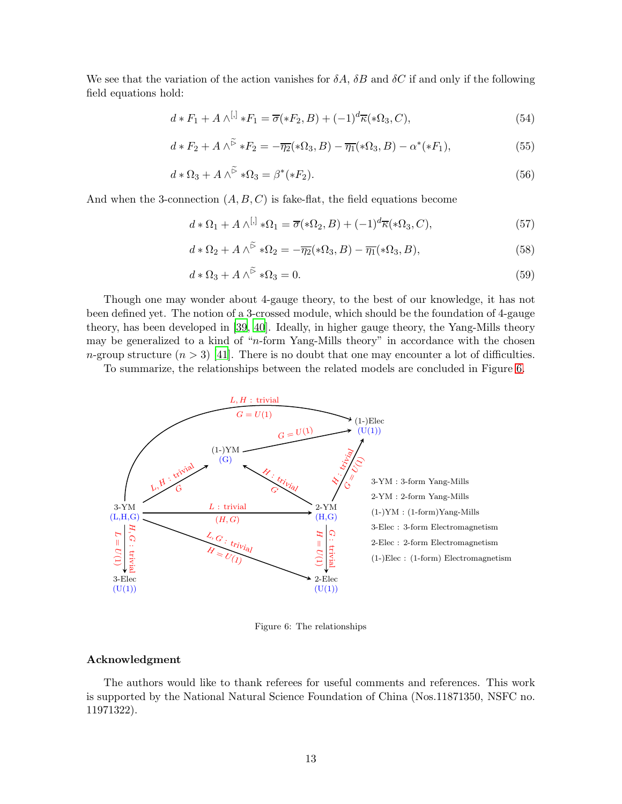We see that the variation of the action vanishes for  $\delta A$ ,  $\delta B$  and  $\delta C$  if and only if the following field equations hold:

$$
d * F_1 + A \wedge^{[,]} * F_1 = \overline{\sigma}(*F_2, B) + (-1)^d \overline{\kappa}(*\Omega_3, C),
$$
\n
$$
(54)
$$

$$
d * F_2 + A \wedge^{\widetilde{\rhd}} * F_2 = -\overline{\eta_2}(*\Omega_3, B) - \overline{\eta_1}(*\Omega_3, B) - \alpha^*(*F_1), \tag{55}
$$

$$
d * \Omega_3 + A \wedge^{\widetilde{\rhd}} * \Omega_3 = \beta^*(*F_2). \tag{56}
$$

And when the 3-connection  $(A, B, C)$  is fake-flat, the field equations become

$$
d * \Omega_1 + A \wedge^{[,]} * \Omega_1 = \overline{\sigma}(*\Omega_2, B) + (-1)^d \overline{\kappa}(*\Omega_3, C),
$$
\n(57)

$$
d * \Omega_2 + A \wedge^{\widetilde{\triangleright}} * \Omega_2 = -\overline{\eta_2}(*\Omega_3, B) - \overline{\eta_1}(*\Omega_3, B), \tag{58}
$$

$$
d * \Omega_3 + A \wedge^{\widetilde{\triangleright}} * \Omega_3 = 0. \tag{59}
$$

Though one may wonder about 4-gauge theory, to the best of our knowledge, it has not been defined yet. The notion of a 3-crossed module, which should be the foundation of 4-gauge theory, has been developed in [\[39](#page-28-27), [40\]](#page-28-28). Ideally, in higher gauge theory, the Yang-Mills theory may be generalized to a kind of "n-form Yang-Mills theory" in accordance with the chosen n-group structure  $(n > 3)$  [\[41](#page-28-29)]. There is no doubt that one may encounter a lot of difficulties.

To summarize, the relationships between the related models are concluded in Figure [6.](#page-20-3)



Figure 6: The relationships

## Acknowledgment

The authors would like to thank referees for useful comments and references. This work is supported by the National Natural Science Foundation of China (Nos.11871350, NSFC no. 11971322).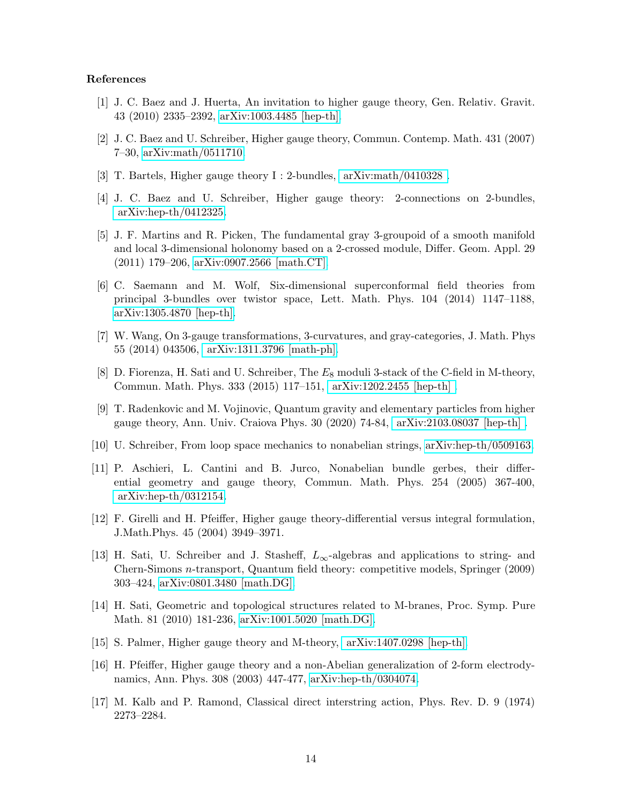### References

- [1] J. C. Baez and J. Huerta, An invitation to higher gauge theory, Gen. Relativ. Gravit. 43 (2010) 2335–2392, [arXiv:1003.4485 \[hep-th\].](arXiv:1003.4485 [hep-th])
- [2] J. C. Baez and U. Schreiber, Higher gauge theory, Commun. Contemp. Math. 431 (2007) 7–30, [arXiv:math/0511710.](arXiv:math/0511710)
- [3] T. Bartels, Higher gauge theory I : 2-bundles, [arXiv:math/0410328 .]( arXiv:math/0410328 )
- [4] J. C. Baez and U. Schreiber, Higher gauge theory: 2-connections on 2-bundles, [arXiv:hep-th/0412325.]( arXiv:hep-th/0412325)
- [5] J. F. Martins and R. Picken, The fundamental gray 3-groupoid of a smooth manifold and local 3-dimensional holonomy based on a 2-crossed module, Differ. Geom. Appl. 29 (2011) 179–206, [arXiv:0907.2566 \[math.CT\].](arXiv:0907.2566 [math.CT])
- [6] C. Saemann and M. Wolf, Six-dimensional superconformal field theories from principal 3-bundles over twistor space, Lett. Math. Phys. 104 (2014) 1147–1188, [arXiv:1305.4870 \[hep-th\].](arXiv:1305.4870 [hep-th])
- [7] W. Wang, On 3-gauge transformations, 3-curvatures, and gray-categories, J. Math. Phys 55 (2014) 043506, [arXiv:1311.3796 \[math-ph\].](arXiv:1311.3796 [math-ph])
- [8] D. Fiorenza, H. Sati and U. Schreiber, The  $E_8$  moduli 3-stack of the C-field in M-theory, Commun. Math. Phys. 333 (2015) 117–151, [arXiv:1202.2455 \[hep-th\] .]( arXiv:1202.2455 [hep-th] )
- [9] T. Radenkovic and M. Vojinovic, Quantum gravity and elementary particles from higher gauge theory, Ann. Univ. Craiova Phys. 30 (2020) 74-84, [arXiv:2103.08037 \[hep-th\] .](arXiv:2103.08037 [hep-th])
- [10] U. Schreiber, From loop space mechanics to nonabelian strings, [arXiv:hep-th/0509163.](arXiv:hep-th/0509163)
- [11] P. Aschieri, L. Cantini and B. Jurco, Nonabelian bundle gerbes, their differential geometry and gauge theory, Commun. Math. Phys. 254 (2005) 367-400, [arXiv:hep-th/0312154.]( arXiv:hep-th/0312154)
- [12] F. Girelli and H. Pfeiffer, Higher gauge theory-differential versus integral formulation, J.Math.Phys. 45 (2004) 3949–3971.
- [13] H. Sati, U. Schreiber and J. Stasheff,  $L_{\infty}$ -algebras and applications to string- and Chern-Simons n-transport, Quantum field theory: competitive models, Springer (2009) 303–424, [arXiv:0801.3480 \[math.DG\].](arXiv:0801.3480 [math.DG])
- [14] H. Sati, Geometric and topological structures related to M-branes, Proc. Symp. Pure Math. 81 (2010) 181-236, [arXiv:1001.5020 \[math.DG\].](arXiv:1001.5020 [math.DG])
- [15] S. Palmer, Higher gauge theory and M-theory, [arXiv:1407.0298 \[hep-th\].]( arXiv:1407.0298 [hep-th])
- [16] H. Pfeiffer, Higher gauge theory and a non-Abelian generalization of 2-form electrodynamics, Ann. Phys. 308 (2003) 447-477, [arXiv:hep-th/0304074.](arXiv:hep-th/0304074)
- [17] M. Kalb and P. Ramond, Classical direct interstring action, Phys. Rev. D. 9 (1974) 2273–2284.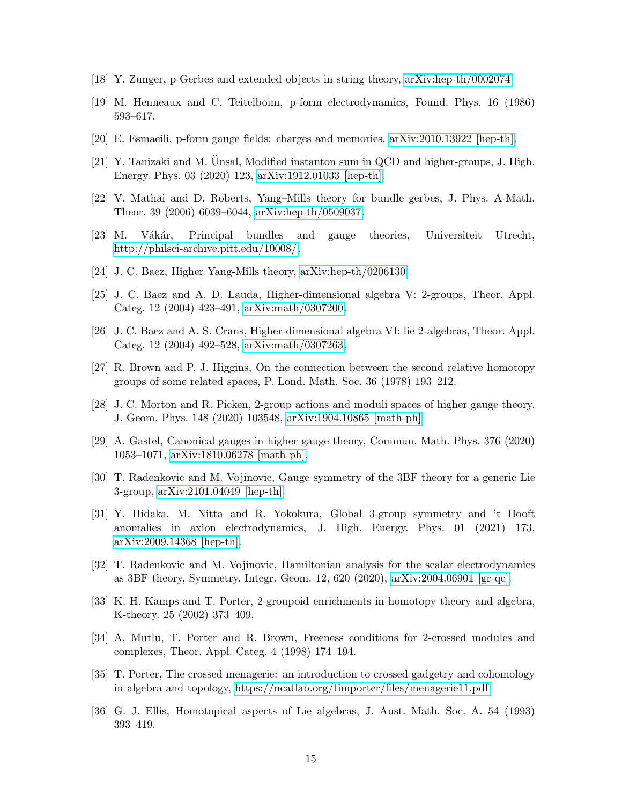- [18] Y. Zunger, p-Gerbes and extended objects in string theory, [arXiv:hep-th/0002074.](arXiv:hep-th/0002074)
- [19] M. Henneaux and C. Teitelboim, p-form electrodynamics, Found. Phys. 16 (1986) 593–617.
- [20] E. Esmaeili, p-form gauge fields: charges and memories, [arXiv:2010.13922 \[hep-th\].](arXiv:2010.13922 [hep-th])
- $[21]$  Y. Tanizaki and M. Unsal, Modified instanton sum in QCD and higher-groups, J. High. Energy. Phys. 03 (2020) 123, [arXiv:1912.01033 \[hep-th\].](arXiv:1912.01033 [hep-th])
- [22] V. Mathai and D. Roberts, Yang–Mills theory for bundle gerbes, J. Phys. A-Math. Theor. 39 (2006) 6039–6044, [arXiv:hep-th/0509037.](arXiv:hep-th/0509037)
- [23] M. Vákár, Principal bundles and gauge theories, Universiteit Utrecht, [http://philsci-archive.pitt.edu/10008/.](http://philsci-archive.pitt.edu/10008/)
- [24] J. C. Baez, Higher Yang-Mills theory, [arXiv:hep-th/0206130.](arXiv:hep-th/0206130)
- [25] J. C. Baez and A. D. Lauda, Higher-dimensional algebra V: 2-groups, Theor. Appl. Categ. 12 (2004) 423–491, [arXiv:math/0307200.](arXiv:math/0307200)
- [26] J. C. Baez and A. S. Crans, Higher-dimensional algebra VI: lie 2-algebras, Theor. Appl. Categ. 12 (2004) 492–528, [arXiv:math/0307263.](arXiv:math/0307263)
- [27] R. Brown and P. J. Higgins, On the connection between the second relative homotopy groups of some related spaces, P. Lond. Math. Soc. 36 (1978) 193–212.
- [28] J. C. Morton and R. Picken, 2-group actions and moduli spaces of higher gauge theory, J. Geom. Phys. 148 (2020) 103548, [arXiv:1904.10865 \[math-ph\].](arXiv:1904.10865 [math-ph])
- [29] A. Gastel, Canonical gauges in higher gauge theory, Commun. Math. Phys. 376 (2020) 1053–1071, [arXiv:1810.06278 \[math-ph\].](arXiv:1810.06278 [math-ph])
- [30] T. Radenkovic and M. Vojinovic, Gauge symmetry of the 3BF theory for a generic Lie 3-group, [arXiv:2101.04049 \[hep-th\].](arXiv:2101.04049 [hep-th])
- [31] Y. Hidaka, M. Nitta and R. Yokokura, Global 3-group symmetry and 't Hooft anomalies in axion electrodynamics, J. High. Energy. Phys. 01 (2021) 173, [arXiv:2009.14368 \[hep-th\].](arXiv:2009.14368 [hep-th])
- [32] T. Radenkovic and M. Vojinovic, Hamiltonian analysis for the scalar electrodynamics as 3BF theory, Symmetry. Integr. Geom. 12, 620 (2020), [arXiv:2004.06901 \[gr-qc\].](arXiv:2004.06901 [gr-qc])
- [33] K. H. Kamps and T. Porter, 2-groupoid enrichments in homotopy theory and algebra, K-theory. 25 (2002) 373–409.
- [34] A. Mutlu, T. Porter and R. Brown, Freeness conditions for 2-crossed modules and complexes, Theor. Appl. Categ. 4 (1998) 174–194.
- [35] T. Porter, The crossed menagerie: an introduction to crossed gadgetry and cohomology in algebra and topology, [https://ncatlab.org/timporter/files/menagerie11.pdf.](https://ncatlab.org/timporter/files/menagerie11.pdf)
- [36] G. J. Ellis, Homotopical aspects of Lie algebras, J. Aust. Math. Soc. A. 54 (1993) 393–419.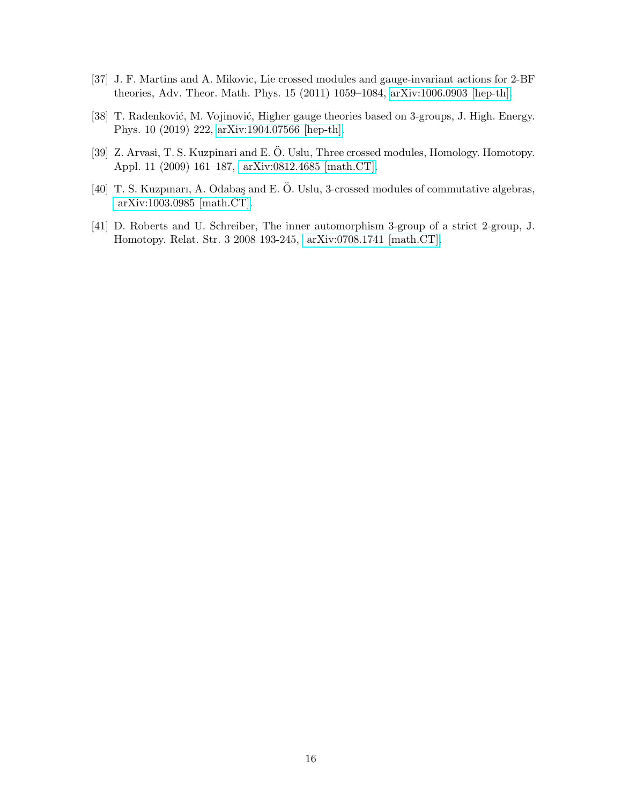- [37] J. F. Martins and A. Mikovic, Lie crossed modules and gauge-invariant actions for 2-BF theories, Adv. Theor. Math. Phys. 15 (2011) 1059–1084, [arXiv:1006.0903 \[hep-th\].](arXiv:1006.0903 [hep-th])
- [38] T. Radenković, M. Vojinović, Higher gauge theories based on 3-groups, J. High. Energy. Phys. 10 (2019) 222, [arXiv:1904.07566 \[hep-th\].](arXiv:1904.07566 [hep-th])
- [39] Z. Arvasi, T. S. Kuzpinari and E. O. Uslu, Three crossed modules, Homology. Homotopy. Appl. 11 (2009) 161–187, [arXiv:0812.4685 \[math.CT\].]( arXiv:0812.4685 [math.CT])
- [40] T. S. Kuzpınarı, A. Odabaş and E. Ö. Uslu, 3-crossed modules of commutative algebras, [arXiv:1003.0985 \[math.CT\].]( arXiv:1003.0985 [math.CT])
- [41] D. Roberts and U. Schreiber, The inner automorphism 3-group of a strict 2-group, J. Homotopy. Relat. Str. 3 2008 193-245, [arXiv:0708.1741 \[math.CT\].]( arXiv:0708.1741 [math.CT])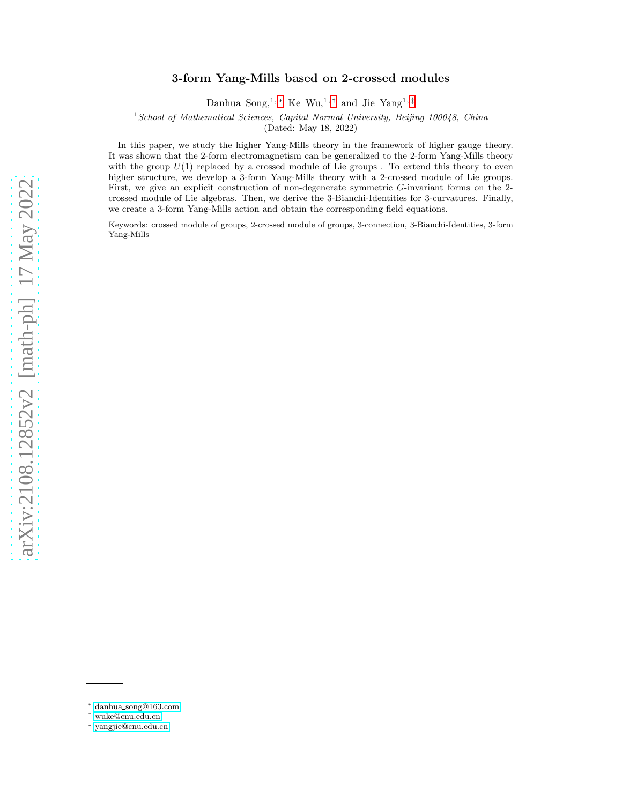# arXiv:2108.12852v2 [math-ph] 17 May 2022 [arXiv:2108.12852v2 \[math-ph\] 17 May 2022](http://arxiv.org/abs/2108.12852v2)

# 3-form Yang-Mills based on 2-crossed modules

Danhua Song,<sup>1,\*</sup> Ke Wu,<sup>1,[†](#page-16-1)</sup> and Jie Yang<sup>1,[‡](#page-16-2)</sup>

 $1$ School of Mathematical Sciences, Capital Normal University, Beijing 100048, China

(Dated: May 18, 2022)

In this paper, we study the higher Yang-Mills theory in the framework of higher gauge theory. It was shown that the 2-form electromagnetism can be generalized to the 2-form Yang-Mills theory with the group  $U(1)$  replaced by a crossed module of Lie groups . To extend this theory to even higher structure, we develop a 3-form Yang-Mills theory with a 2-crossed module of Lie groups. First, we give an explicit construction of non-degenerate symmetric G-invariant forms on the 2 crossed module of Lie algebras. Then, we derive the 3-Bianchi-Identities for 3-curvatures. Finally, we create a 3-form Yang-Mills action and obtain the corresponding field equations.

Keywords: crossed module of groups, 2-crossed module of groups, 3-connection, 3-Bianchi-Identities, 3-form Yang-Mills

<span id="page-16-0"></span><sup>∗</sup> danhua [song@163.com](mailto:danhua_song@163.com)

<span id="page-16-1"></span><sup>†</sup> [wuke@cnu.edu.cn](mailto:wuke@cnu.edu.cn)

<span id="page-16-2"></span><sup>‡</sup> [yangjie@cnu.edu.cn](mailto:yangjie@cnu.edu.cn)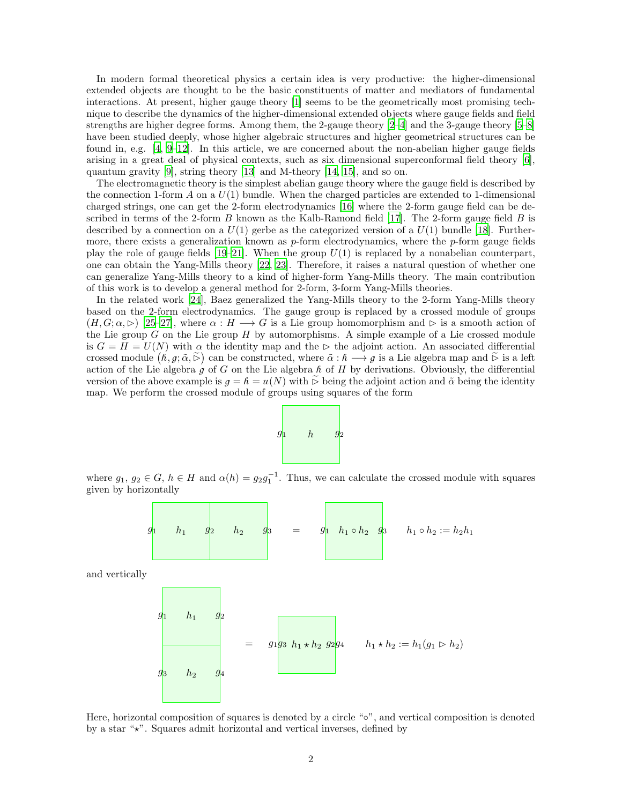In modern formal theoretical physics a certain idea is very productive: the higher-dimensional extended objects are thought to be the basic constituents of matter and mediators of fundamental interactions. At present, higher gauge theory [\[1\]](#page-27-0) seems to be the geometrically most promising technique to describe the dynamics of the higher-dimensional extended objects where gauge fields and field strengths are higher degree forms. Among them, the 2-gauge theory [\[2](#page-27-1)[–4\]](#page-27-3) and the 3-gauge theory [\[5](#page-27-4)[–8](#page-27-6)] have been studied deeply, whose higher algebraic structures and higher geometrical structures can be found in, e.g. [\[4,](#page-27-3) [9](#page-27-7)[–12\]](#page-28-1). In this article, we are concerned about the non-abelian higher gauge fields arising in a great deal of physical contexts, such as six dimensional superconformal field theory [\[6\]](#page-27-5), quantum gravity [\[9\]](#page-27-7), string theory [\[13\]](#page-28-2) and M-theory [\[14,](#page-28-3) [15\]](#page-28-4), and so on.

The electromagnetic theory is the simplest abelian gauge theory where the gauge field is described by the connection 1-form  $A$  on a  $U(1)$  bundle. When the charged particles are extended to 1-dimensional charged strings, one can get the 2-form electrodynamics [\[16\]](#page-28-5) where the 2-form gauge field can be described in terms of the 2-form  $B$  known as the Kalb-Ramond field [\[17\]](#page-28-6). The 2-form gauge field  $B$  is described by a connection on a  $U(1)$  gerbe as the categorized version of a  $U(1)$  bundle [\[18](#page-28-7)]. Furthermore, there exists a generalization known as  $p$ -form electrodynamics, where the  $p$ -form gauge fields play the role of gauge fields  $[19–21]$  $[19–21]$  $[19–21]$ . When the group  $U(1)$  is replaced by a nonabelian counterpart, one can obtain the Yang-Mills theory [\[22,](#page-28-10) [23\]](#page-28-11). Therefore, it raises a natural question of whether one can generalize Yang-Mills theory to a kind of higher-form Yang-Mills theory. The main contribution of this work is to develop a general method for 2-form, 3-form Yang-Mills theories.

In the related work [\[24\]](#page-28-12), Baez generalized the Yang-Mills theory to the 2-form Yang-Mills theory based on the 2-form electrodynamics. The gauge group is replaced by a crossed module of groups  $(H, G; \alpha, \triangleright)$  [\[25](#page-28-13)[–27\]](#page-28-15), where  $\alpha : H \longrightarrow G$  is a Lie group homomorphism and  $\triangleright$  is a smooth action of the Lie group G on the Lie group H by automorphisms. A simple example of a Lie crossed module is  $G = H = U(N)$  with  $\alpha$  the identity map and the ⊳ the adjoint action. An associated differential crossed module  $(h, g; \tilde{\alpha}, \tilde{\triangleright})$  can be constructed, where  $\tilde{\alpha}: h \longrightarrow g$  is a Lie algebra map and  $\tilde{\triangleright}$  is a left action of the Lie algebra g of G on the Lie algebra h of H by derivations. Obviously, the differential version of the above example is  $g = h = u(N)$  with  $\tilde{\triangleright}$  being the adjoint action and  $\tilde{\alpha}$  being the identity map. We perform the crossed module of groups using squares of the form



where  $g_1, g_2 \in G$ ,  $h \in H$  and  $\alpha(h) = g_2 g_1^{-1}$ . Thus, we can calculate the crossed module with squares given by horizontally



and vertically



Here, horizontal composition of squares is denoted by a circle "◦", and vertical composition is denoted by a star " $\star$ ". Squares admit horizontal and vertical inverses, defined by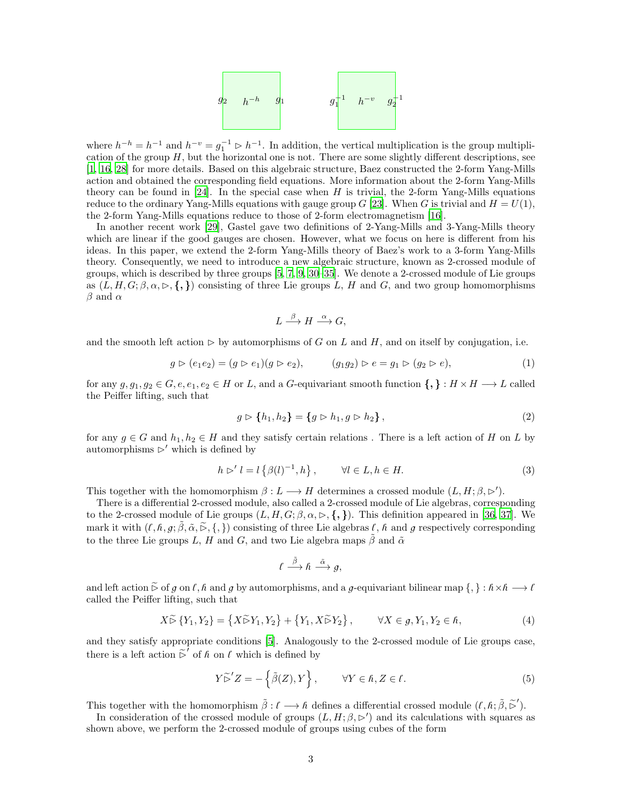

where  $h^{-h} = h^{-1}$  and  $h^{-v} = g_1^{-1} \triangleright h^{-1}$ . In addition, the vertical multiplication is the group multiplication of the group  $H$ , but the horizontal one is not. There are some slightly different descriptions, see [\[1,](#page-27-0) [16,](#page-28-5) [28](#page-28-16)] for more details. Based on this algebraic structure, Baez constructed the 2-form Yang-Mills action and obtained the corresponding field equations. More information about the 2-form Yang-Mills theory can be found in [\[24\]](#page-28-12). In the special case when  $H$  is trivial, the 2-form Yang-Mills equations reduce to the ordinary Yang-Mills equations with gauge group G [\[23](#page-28-11)]. When G is trivial and  $H = U(1)$ , the 2-form Yang-Mills equations reduce to those of 2-form electromagnetism [\[16\]](#page-28-5).

In another recent work [\[29](#page-28-17)], Gastel gave two definitions of 2-Yang-Mills and 3-Yang-Mills theory which are linear if the good gauges are chosen. However, what we focus on here is different from his ideas. In this paper, we extend the 2-form Yang-Mills theory of Baez's work to a 3-form Yang-Mills theory. Consequently, we need to introduce a new algebraic structure, known as 2-crossed module of groups, which is described by three groups [\[5,](#page-27-4) 7, [9,](#page-27-7) [30](#page-28-18)[–35](#page-28-23)]. We denote a 2-crossed module of Lie groups as  $(L, H, G; \beta, \alpha, \triangleright, \{\,\})$  consisting of three Lie groups L, H and G, and two group homomorphisms  $\beta$  and  $\alpha$ 

<span id="page-18-0"></span>
$$
L \xrightarrow{\beta} H \xrightarrow{\alpha} G,
$$

and the smooth left action  $\triangleright$  by automorphisms of G on L and H, and on itself by conjugation, i.e.

$$
g \triangleright (e_1 e_2) = (g \triangleright e_1)(g \triangleright e_2), \qquad (g_1 g_2) \triangleright e = g_1 \triangleright (g_2 \triangleright e), \tag{1}
$$

for any  $g, g_1, g_2 \in G, e, e_1, e_2 \in H$  or L, and a G-equivariant smooth function  $\{,\} : H \times H \longrightarrow L$  called the Peiffer lifting, such that

$$
g \triangleright \{h_1, h_2\} = \{g \triangleright h_1, g \triangleright h_2\},\tag{2}
$$

for any  $g \in G$  and  $h_1, h_2 \in H$  and they satisfy certain relations. There is a left action of H on L by automorphisms  $\triangleright'$  which is defined by

$$
h \rhd' l = l \left\{ \beta(l)^{-1}, h \right\}, \qquad \forall l \in L, h \in H. \tag{3}
$$

This together with the homomorphism  $\beta: L \longrightarrow H$  determines a crossed module  $(L, H; \beta, \triangleright')$ .

There is a differential 2-crossed module, also called a 2-crossed module of Lie algebras, corresponding to the 2-crossed module of Lie groups  $(L, H, G; \beta, \alpha, \rhd, \{, \})$ . This definition appeared in [\[36](#page-28-30), [37](#page-28-24)]. We mark it with  $(\ell, \hat{\beta}, g; \tilde{\beta}, \tilde{\alpha}, \tilde{\epsilon}, \{\})$  consisting of three Lie algebras  $\ell, \tilde{\beta}$  and g respectively corresponding to the three Lie groups L, H and G, and two Lie algebra maps  $\tilde{\beta}$  and  $\tilde{\alpha}$ 

<span id="page-18-1"></span>
$$
l\stackrel{\tilde{\beta}}{\longrightarrow}\hbar\stackrel{\tilde{\alpha}}{\longrightarrow}g,
$$

and left action  $\tilde{\triangleright}$  of g on l, h and g by automorphisms, and a g-equivariant bilinear map  $\{\, \} : \hbar \times \hbar \longrightarrow \ell$ called the Peiffer lifting, such that

$$
X \widetilde{\triangleright} \{Y_1, Y_2\} = \left\{X \widetilde{\triangleright} Y_1, Y_2\right\} + \left\{Y_1, X \widetilde{\triangleright} Y_2\right\}, \qquad \forall X \in g, Y_1, Y_2 \in \hbar,
$$
\n
$$
\tag{4}
$$

and they satisfy appropriate conditions [\[5\]](#page-27-4). Analogously to the 2-crossed module of Lie groups case, there is a left action  $\tilde{\triangleright}'$  of h on l which is defined by

$$
Y \widetilde{\triangleright}^{\prime} Z = -\left\{ \widetilde{\beta}(Z), Y \right\}, \qquad \forall Y \in \hbar, Z \in \ell.
$$
 (5)

This together with the homomorphism  $\tilde{\beta}: \ell \longrightarrow \ell$  defines a differential crossed module  $(\ell, \hbar; \tilde{\beta}, \tilde{\rhd}')$ .

In consideration of the crossed module of groups  $(L, H; \beta, \rhd')$  and its calculations with squares as shown above, we perform the 2-crossed module of groups using cubes of the form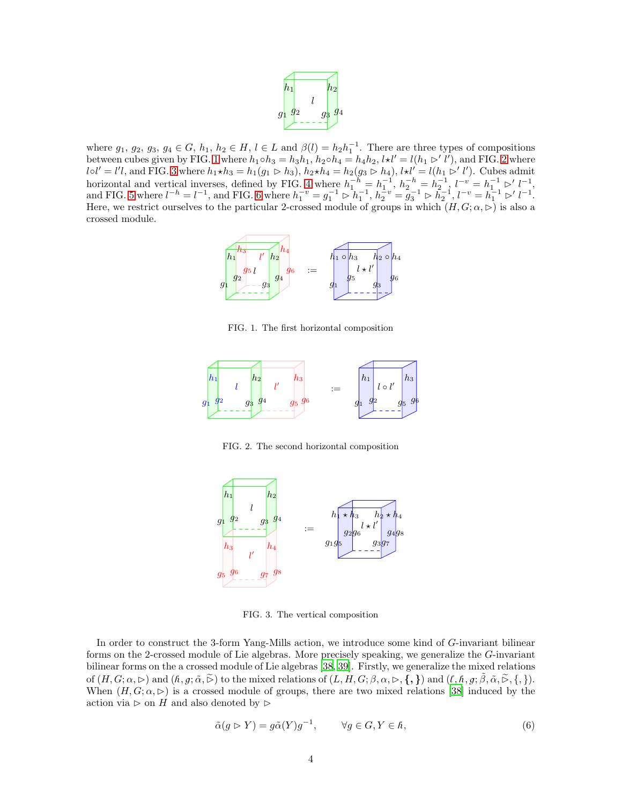

where  $g_1, g_2, g_3, g_4 \in G$ ,  $h_1, h_2 \in H$ ,  $l \in L$  and  $\beta(l) = h_2 h_1^{-1}$ . There are three types of compositions where  $g_1, g_2, g_3, g_4 \in G$ ,  $h_1, h_2 \in H$ ,  $i \in L$  and  $p(i) = h_2h_1$ . There are times types of compositions between cubes given by FIG. [1](#page-19-0) where  $h_1 \circ h_3 = h_3 h_1$ ,  $h_2 \circ h_4 = h_4 h_2$ ,  $k \star l' = l(h_1 \triangleright' l')$ , and FIG. [2](#page-19-1) where  $l \circ l' = l'l$ , and FIG. [3](#page-19-2) where  $h_1 \star h_3 = h_1(g_1 \rhd h_3)$ ,  $h_2 \star h_4 = h_2(g_3 \rhd h_4)$ ,  $l \star l' = l(h_1 \rhd l')$ . Cubes admit horizontal and vertical inverses, defined by FIG. [4](#page-20-0) where  $h_1^{-h} = h_1^{-1}$ ,  $h_2^{-h} = h_2^{-1}$ ,  $l^{-v} = h_1^{-1} \triangleright' l^{-1}$ , and FIG. [5](#page-20-1) where  $l^{-h} = l^{-1}$ , and FIG. [6](#page-20-3) where  $h_1^{-v} = g_1^{-1} \rhd h_1^{-1}$ ,  $h_2^{-v} = g_3^{-1} \rhd h_2^{-1}$ ,  $l^{-v} = h_1^{-1} \rhd l^{-1}$ . Here, we restrict ourselves to the particular 2-crossed module of groups in which  $(H, G; \alpha, \triangleright)$  is also a crossed module.



<span id="page-19-0"></span>FIG. 1. The first horizontal composition



<span id="page-19-1"></span>FIG. 2. The second horizontal composition



<span id="page-19-2"></span>FIG. 3. The vertical composition

In order to construct the 3-form Yang-Mills action, we introduce some kind of G-invariant bilinear forms on the 2-crossed module of Lie algebras. More precisely speaking, we generalize the G-invariant bilinear forms on the a crossed module of Lie algebras [\[38,](#page-28-25) [39\]](#page-28-26). Firstly, we generalize the mixed relations of  $(H, G; \alpha, \triangleright)$  and  $(h, g; \tilde{\alpha}, \tilde{\triangleright})$  to the mixed relations of  $(L, H, G; \beta, \alpha, \triangleright, \{,\})$  and  $(l, h, g; \tilde{\beta}, \tilde{\alpha}, \tilde{\triangleright}, \{,\}).$ When  $(H, G; \alpha, \rhd)$  is a crossed module of groups, there are two mixed relations [\[38\]](#page-28-25) induced by the action via ⊳ on H and also denoted by ⊳

$$
\tilde{\alpha}(g \triangleright Y) = g\tilde{\alpha}(Y)g^{-1}, \qquad \forall g \in G, Y \in \hbar,
$$
\n<sup>(6)</sup>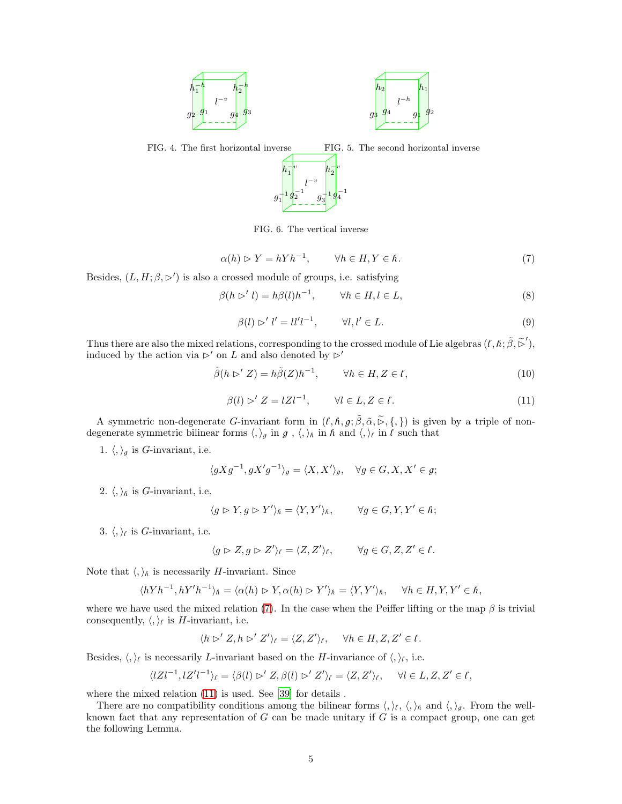

<span id="page-20-0"></span>FIG. 4. The first horizontal inverse FIG. 5. The second horizontal inverse l  $-v$ g −1 1 g −1 <sup>2</sup> g −1 3 g −1 4  $\boldsymbol{h}$  $-v$  $\frac{1}{1}$ <sup>v</sup> h  $-|v|$ 2

<span id="page-20-4"></span><span id="page-20-3"></span><span id="page-20-1"></span>FIG. 6. The vertical inverse

$$
\alpha(h) \triangleright Y = hYh^{-1}, \qquad \forall h \in H, Y \in \hbar. \tag{7}
$$

Besides,  $(L, H; \beta, \triangleright')$  is also a crossed module of groups, i.e. satisfying

$$
\beta(h \rhd' l) = h\beta(l)h^{-1}, \qquad \forall h \in H, l \in L,
$$
\n
$$
(8)
$$

<span id="page-20-2"></span>
$$
\beta(l) \rhd' l' = ll'l^{-1}, \qquad \forall l, l' \in L. \tag{9}
$$

Thus there are also the mixed relations, corresponding to the crossed module of Lie algebras  $(\ell, \hbar; \tilde{\beta}, \tilde{\rhd}'),$ induced by the action via ⊳′ on L and also denoted by  $\triangleright'$ 

$$
\tilde{\beta}(h \rhd Z) = h\tilde{\beta}(Z)h^{-1}, \qquad \forall h \in H, Z \in \ell,
$$
\n(10)

<span id="page-20-5"></span>
$$
\beta(l) \triangleright' Z = lZl^{-1}, \qquad \forall l \in L, Z \in \ell.
$$
\n
$$
(11)
$$

A symmetric non-degenerate G-invariant form in  $(\ell, \hbar, g; \tilde{\beta}, \tilde{\alpha}, \tilde{\triangleright}, \{,\})$  is given by a triple of nondegenerate symmetric bilinear forms  $\langle,\rangle_g$  in  $g$ ,  $\langle,\rangle_h$  in  $\hat{h}$  and  $\langle,\rangle_f$  in  $\hat{l}$  such that

1.  $\langle,\rangle_g$  is *G*-invariant, i.e.

$$
\langle gXg^{-1}, gX'g^{-1}\rangle_g = \langle X, X'\rangle_g, \quad \forall g \in G, X, X' \in g;
$$

2.  $\langle, \rangle_{\hbar}$  is *G*-invariant, i.e.

$$
\langle g \rhd Y, g \rhd Y' \rangle_{\hbar} = \langle Y, Y' \rangle_{\hbar}, \qquad \forall g \in G, Y, Y' \in \hbar;
$$

3.  $\langle,\rangle_{\ell}$  is *G*-invariant, i.e.

$$
\langle g \rhd Z, g \rhd Z' \rangle_{\ell} = \langle Z, Z' \rangle_{\ell}, \qquad \forall g \in G, Z, Z' \in \ell.
$$

Note that  $\langle,\rangle_{\hbar}$  is necessarily H-invariant. Since

$$
\langle hYh^{-1}, hY'h^{-1}\rangle_{\hbar} = \langle \alpha(h) \rhd Y, \alpha(h) \rhd Y'\rangle_{\hbar} = \langle Y, Y'\rangle_{\hbar}, \quad \forall h \in H, Y, Y' \in \hbar,
$$

where we have used the mixed relation [\(7\)](#page-20-4). In the case when the Peiffer lifting or the map  $\beta$  is trivial consequently,  $\langle, \rangle_{\ell}$  is *H*-invariant, i.e.

$$
\langle h \rhd' Z, h \rhd' Z' \rangle_{\ell} = \langle Z, Z' \rangle_{\ell}, \quad \forall h \in H, Z, Z' \in \ell.
$$

Besides,  $\langle, \rangle_{\ell}$  is necessarily L-invariant based on the H-invariance of  $\langle, \rangle_{\ell}$ , i.e.

$$
\langle lZl^{-1}, lZ'l^{-1}\rangle_{\ell} = \langle \beta(l) \rhd Z, \beta(l) \rhd Z'\rangle_{\ell} = \langle Z, Z'\rangle_{\ell}, \quad \forall l \in L, Z, Z' \in \ell,
$$

where the mixed relation  $(11)$  is used. See [\[39](#page-28-26)] for details.

There are no compatibility conditions among the bilinear forms  $\langle, \rangle_{\ell}, \langle, \rangle_{\hbar}$  and  $\langle, \rangle_{g}$ . From the wellknown fact that any representation of  $G$  can be made unitary if  $G$  is a compact group, one can get the following Lemma.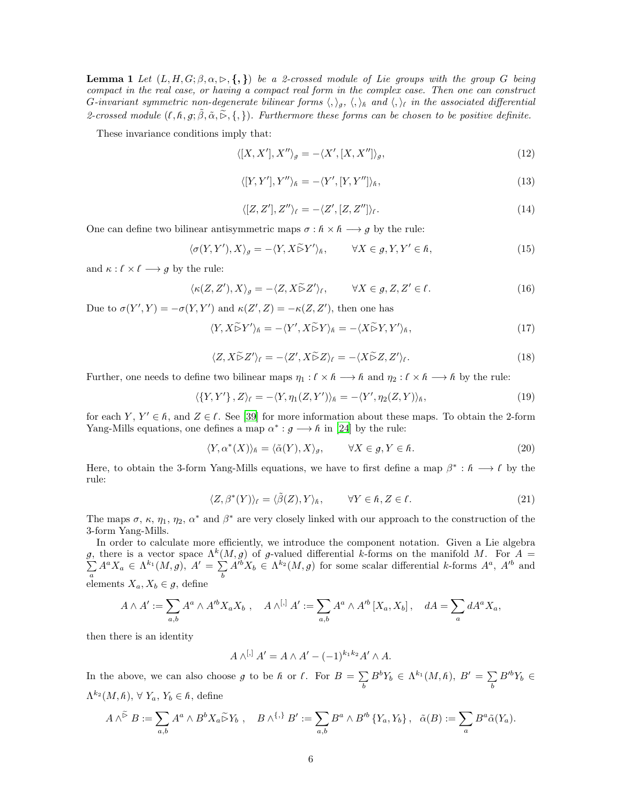**Lemma 1** Let  $(L, H, G; \beta, \alpha, \triangleright, \{, \})$  be a 2-crossed module of Lie groups with the group G being compact in the real case, or having a compact real form in the complex case. Then one can construct G-invariant symmetric non-degenerate bilinear forms  $\langle,\rangle_g, \langle,\rangle_h$  and  $\langle,\rangle_t$  in the associated differential 2-crossed module  $(\ell, \hbar, g; \tilde{\beta}, \tilde{\alpha}, \tilde{\beta}, \{, \})$ . Furthermore these forms can be chosen to be positive definite.

These invariance conditions imply that:

$$
\langle [X, X'], X'' \rangle_g = -\langle X', [X, X''] \rangle_g,\tag{12}
$$

<span id="page-21-3"></span>
$$
\langle [Y, Y'], Y'' \rangle_{\hbar} = -\langle Y', [Y, Y''] \rangle_{\hbar},\tag{13}
$$

<span id="page-21-8"></span><span id="page-21-7"></span><span id="page-21-6"></span><span id="page-21-5"></span><span id="page-21-4"></span>
$$
\langle [Z, Z'], Z'' \rangle_{\ell} = -\langle Z', [Z, Z''] \rangle_{\ell}.
$$
\n(14)

One can define two bilinear antisymmetric maps  $\sigma : \hat{h} \times \hat{h} \longrightarrow g$  by the rule:

$$
\langle \sigma(Y, Y'), X \rangle_g = -\langle Y, X \tilde{\rhd} Y' \rangle_{\hbar}, \qquad \forall X \in g, Y, Y' \in \hbar,
$$
\n(15)

and  $\kappa : \ell \times \ell \longrightarrow g$  by the rule:

$$
\langle \kappa(Z, Z'), X \rangle_g = -\langle Z, X \tilde{\triangleright} Z' \rangle_f, \qquad \forall X \in g, Z, Z' \in \ell.
$$
 (16)

Due to  $\sigma(Y', Y) = -\sigma(Y, Y')$  and  $\kappa(Z', Z) = -\kappa(Z, Z')$ , then one has

$$
\langle Y, X \tilde{\rhd} Y' \rangle_{\hbar} = -\langle Y', X \tilde{\rhd} Y \rangle_{\hbar} = -\langle X \tilde{\rhd} Y, Y' \rangle_{\hbar},\tag{17}
$$

<span id="page-21-9"></span><span id="page-21-0"></span>
$$
\langle Z, X \widetilde{\triangleright} Z' \rangle_{\ell} = -\langle Z', X \widetilde{\triangleright} Z \rangle_{\ell} = -\langle X \widetilde{\triangleright} Z, Z' \rangle_{\ell}.
$$
\n(18)

Further, one needs to define two bilinear maps  $\eta_1 : \ell \times \ell \longrightarrow \ell$  and  $\eta_2 : \ell \times \ell \longrightarrow \ell$  by the rule:

$$
\langle \{Y, Y'\}, Z \rangle_{\ell} = -\langle Y, \eta_1(Z, Y') \rangle_{\hbar} = -\langle Y', \eta_2(Z, Y) \rangle_{\hbar},\tag{19}
$$

for each Y,  $Y' \in \mathbb{A}$ , and  $Z \in \mathbb{C}$ . See [\[39](#page-28-26)] for more information about these maps. To obtain the 2-form Yang-Mills equations, one defines a map  $\alpha^* : g \longrightarrow h$  in [\[24\]](#page-28-12) by the rule:

<span id="page-21-1"></span>
$$
\langle Y, \alpha^*(X) \rangle_{\hbar} = \langle \tilde{\alpha}(Y), X \rangle_g, \qquad \forall X \in g, Y \in \hbar.
$$
 (20)

Here, to obtain the 3-form Yang-Mills equations, we have to first define a map  $\beta^* : \hbar \longrightarrow \ell$  by the rule:

<span id="page-21-2"></span>
$$
\langle Z, \beta^*(Y) \rangle_{\ell} = \langle \tilde{\beta}(Z), Y \rangle_{\hbar}, \qquad \forall Y \in \hbar, Z \in \ell.
$$
 (21)

The maps  $\sigma$ ,  $\kappa$ ,  $\eta_1$ ,  $\eta_2$ ,  $\alpha^*$  and  $\beta^*$  are very closely linked with our approach to the construction of the 3-form Yang-Mills.

In order to calculate more efficiently, we introduce the component notation. Given a Lie algebra g, there is a vector space  $\Lambda^k$  $\sum$  $(M, g)$  of g-valued differential k-forms on the manifold M. For  $A =$  $\sum_a^{\cdot} A^a X_a \in \Lambda^{k_1}(M,g), \ A' = \sum_b^{\cdot}$  $\sum_{b} A'^{b} X_{b} \in \Lambda^{k_{2}}(M,g)$  for some scalar differential k-forms  $A^{a}$ ,  $A'^{b}$  and elements  $X_a, X_b \in \mathfrak{g}$ , define

$$
A \wedge A' := \sum_{a,b} A^a \wedge A'^b X_a X_b , \quad A \wedge^{[,]} A' := \sum_{a,b} A^a \wedge A'^b [X_a, X_b], \quad dA = \sum_a dA^a X_a,
$$

then there is an identity

$$
A \wedge^{[,} A' = A \wedge A' - (-1)^{k_1 k_2} A' \wedge A.
$$

In the above, we can also choose g to be h or l. For  $B = \sum$  $\sum_b B^b Y_b \in \Lambda^{k_1}(M,\hbar),\ B'=\sum_b$  $\sum_{b} B'^{b} Y_{b} \in$  $\Lambda^{k_2}(M,\hbar), \,\forall \, Y_a, Y_b \in \hbar,$  define

$$
A\wedge^{\widetilde{\rhd}} B:=\sum_{a,b}A^a\wedge B^bX_a\widetilde{\rhd} Y_b\ ,\quad B\wedge^{\{\,,\}} B':=\sum_{a,b}B^a\wedge B'^b\left\{Y_a,Y_b\right\},\ \ \widetilde{\alpha}(B):=\sum_aB^a\widetilde{\alpha}(Y_a).
$$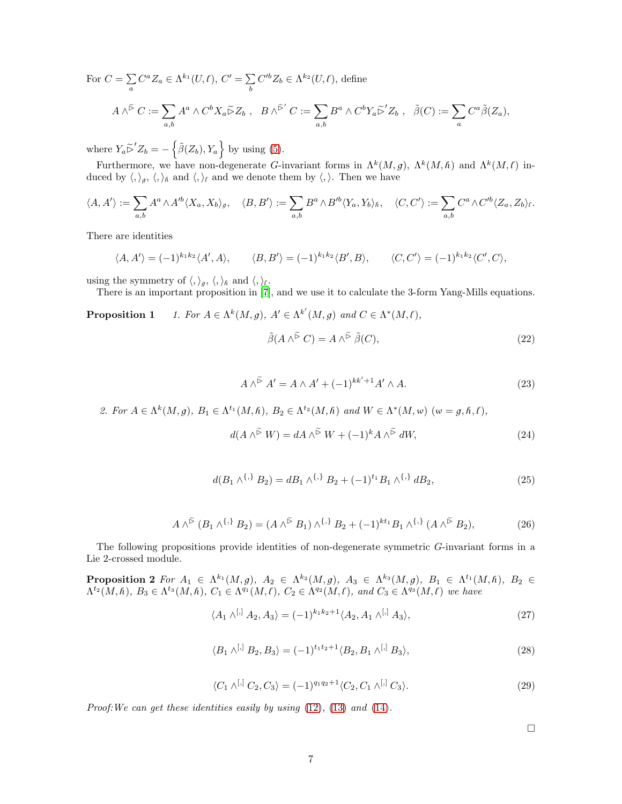For  $C = \sum$  $\sum_{a} C^{a} Z_{a} \in \Lambda^{k_{1}}(U, \ell), C' = \sum_{b}$ b  $C'^{b}Z_{b} \in \Lambda^{k_{2}}(U,\ell)$ , define  $A \wedge^{\widetilde{\triangleright}} C := \sum$ a,b  $A^a \wedge C^b X_a \widetilde{\triangleright} Z_b$ ,  $B \wedge^{\widetilde{\triangleright}'} C := \sum$ a,b  $B^a \wedge C^b Y_a \widetilde{\triangleright}' Z_b$ ,  $\widetilde{\beta}(C) := \sum$ a  $C^a\tilde{\beta}(Z_a),$ 

where  $Y_a \widetilde{\triangleright}^{\prime} Z_b = -\left\{ \widetilde{\beta}(Z_b), Y_a \right\}$  by using [\(5\)](#page-18-1).

Furthermore, we have non-degenerate G-invariant forms in  $\Lambda^k(M, g)$ ,  $\Lambda^k(M, \hbar)$  and  $\Lambda^k(M, \ell)$  induced by  $\langle,\rangle_g, \langle,\rangle_h$  and  $\langle,\rangle_\ell$  and we denote them by  $\langle,\rangle$ . Then we have

$$
\langle A, A' \rangle := \sum_{a,b} A^a \wedge A'^b \langle X_a, X_b \rangle_g, \quad \langle B, B' \rangle := \sum_{a,b} B^a \wedge B'^b \langle Y_a, Y_b \rangle_h, \quad \langle C, C' \rangle := \sum_{a,b} C^a \wedge C'^b \langle Z_a, Z_b \rangle_f.
$$

There are identities

$$
\langle A, A' \rangle = (-1)^{k_1 k_2} \langle A', A \rangle, \qquad \langle B, B' \rangle = (-1)^{k_1 k_2} \langle B', B \rangle, \qquad \langle C, C' \rangle = (-1)^{k_1 k_2} \langle C', C \rangle,
$$

using the symmetry of  $\langle,\rangle_g, \langle,\rangle_h$  and  $\langle,\rangle_{\ell}$ .

There is an important proposition in [7], and we use it to calculate the 3-form Yang-Mills equations.

Proposition 1.  ${}^{k}(M,g), A' \in \Lambda^{k'}(M,g)$  and  $C \in \Lambda^{*}(M,\ell),$ 

<span id="page-22-2"></span><span id="page-22-0"></span>
$$
\tilde{\beta}(A \wedge^{\tilde{\triangleright}} C) = A \wedge^{\tilde{\triangleright}} \tilde{\beta}(C), \tag{22}
$$

$$
A \wedge^{\widetilde{\triangleright}} A' = A \wedge A' + (-1)^{kk'+1} A' \wedge A.
$$
 (23)

<span id="page-22-3"></span><span id="page-22-1"></span>2. For  $A \in \Lambda^k(M, g)$ ,  $B_1 \in \Lambda^{t_1}(M, h)$ ,  $B_2 \in \Lambda^{t_2}(M, h)$  and  $W \in \Lambda^*(M, \omega)$   $(\omega = g, h, l)$ ,

$$
d(A \wedge^{\widetilde{\triangleright}} W) = dA \wedge^{\widetilde{\triangleright}} W + (-1)^k A \wedge^{\widetilde{\triangleright}} dW,
$$
\n(24)

$$
d(B_1 \wedge^{\{,\}} B_2) = dB_1 \wedge^{\{,\}} B_2 + (-1)^{t_1} B_1 \wedge^{\{,\}} dB_2,
$$
\n(25)

$$
A \wedge^{\tilde{\triangleright}} (B_1 \wedge^{\{,\}} B_2) = (A \wedge^{\tilde{\triangleright}} B_1) \wedge^{\{,\}} B_2 + (-1)^{kt_1} B_1 \wedge^{\{,\}} (A \wedge^{\tilde{\triangleright}} B_2), \tag{26}
$$

<span id="page-22-4"></span>The following propositions provide identities of non-degenerate symmetric G-invariant forms in a Lie 2-crossed module.

**Proposition 2** For  $A_1 \in \Lambda^{k_1}(M,g)$ ,  $A_2 \in \Lambda^{k_2}(M,g)$ ,  $A_3 \in \Lambda^{k_3}(M,g)$ ,  $B_1 \in \Lambda^{t_1}(M,h)$ ,  $B_2 \in$  $\Lambda^{t_2}(M,\hbar), B_3 \in \Lambda^{t_3}(M,\hbar), C_1 \in \Lambda^{q_1}(M,\ell), C_2 \in \Lambda^{q_2}(M,\ell), \text{ and } C_3 \in \Lambda^{q_3}(M,\ell)$  we have

$$
\langle A_1 \wedge^{[,} A_2, A_3 \rangle = (-1)^{k_1 k_2 + 1} \langle A_2, A_1 \wedge^{[,} A_3 \rangle,
$$
 (27)

$$
\langle B_1 \wedge^{[,]} B_2, B_3 \rangle = (-1)^{t_1 t_2 + 1} \langle B_2, B_1 \wedge^{[,]} B_3 \rangle, \tag{28}
$$

$$
\langle C_1 \wedge^{[,]} C_2, C_3 \rangle = (-1)^{q_1 q_2 + 1} \langle C_2, C_1 \wedge^{[,]} C_3 \rangle. \tag{29}
$$

Proof: We can get these identities easily by using  $(12)$ ,  $(13)$  and  $(14)$ .

<span id="page-22-7"></span><span id="page-22-6"></span><span id="page-22-5"></span> $\Box$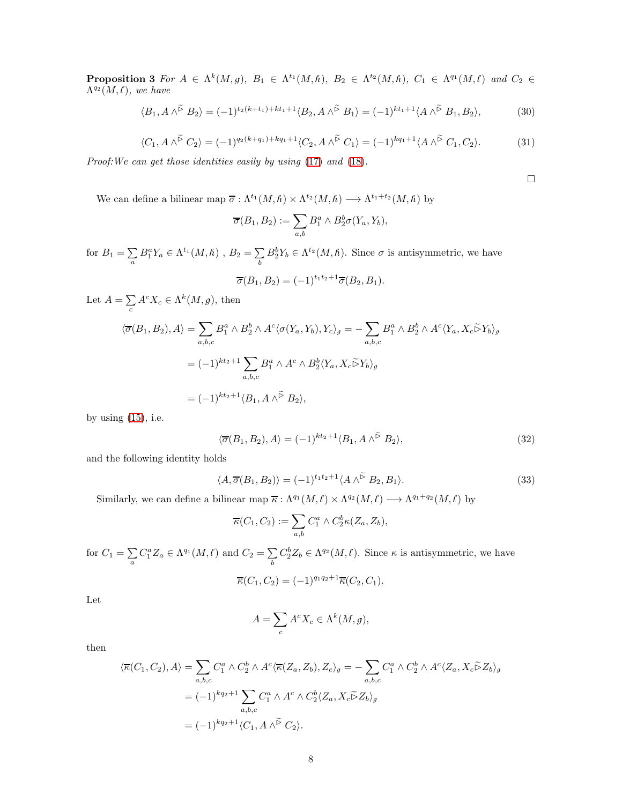**Proposition 3** For  $A \in \Lambda^k(M,g)$ ,  $B_1 \in \Lambda^{t_1}(M,h)$ ,  $B_2 \in \Lambda^{t_2}(M,h)$ ,  $C_1 \in \Lambda^{q_1}(M,f)$  and  $C_2 \in$  $\Lambda^{q_2}(M,\ell)$ , we have

$$
\langle B_1, A \wedge^{\tilde{\triangleright}} B_2 \rangle = (-1)^{t_2(k+t_1) + kt_1 + 1} \langle B_2, A \wedge^{\tilde{\triangleright}} B_1 \rangle = (-1)^{kt_1 + 1} \langle A \wedge^{\tilde{\triangleright}} B_1, B_2 \rangle,
$$
 (30)

$$
\langle C_1, A \wedge^{\tilde{\triangleright}} C_2 \rangle = (-1)^{q_2(k+q_1)+kq_1+1} \langle C_2, A \wedge^{\tilde{\triangleright}} C_1 \rangle = (-1)^{kq_1+1} \langle A \wedge^{\tilde{\triangleright}} C_1, C_2 \rangle.
$$
 (31)

Proof:We can get those identities easily by using [\(17\)](#page-21-6) and [\(18\)](#page-21-0).

<span id="page-23-1"></span><span id="page-23-0"></span> $\Box$ 

We can define a bilinear map  $\overline{\sigma} : \Lambda^{t_1}(M,\hbar) \times \Lambda^{t_2}(M,\hbar) \longrightarrow \Lambda^{t_1+t_2}(M,\hbar)$  by

$$
\overline{\sigma}(B_1, B_2) := \sum_{a,b} B_1^a \wedge B_2^b \sigma(Y_a, Y_b),
$$

for  $B_1 = \sum$  $\sum_a B_1^a Y_a \in \Lambda^{t_1}(M,h)$  ,  $B_2 = \sum_b$ b  $B_2^b Y_b \in \Lambda^{t_2}(M, \hbar)$ . Since  $\sigma$  is antisymmetric, we have

$$
\overline{\sigma}(B_1, B_2) = (-1)^{t_1 t_2 + 1} \overline{\sigma}(B_2, B_1).
$$

Let  $A = \sum$  $\sum_{c} A^{c} X_{c} \in \Lambda^{k}(M, g)$ , then

$$
\langle \overline{\sigma}(B_1, B_2), A \rangle = \sum_{a, b, c} B_1^a \wedge B_2^b \wedge A^c \langle \sigma(Y_a, Y_b), Y_c \rangle_g = - \sum_{a, b, c} B_1^a \wedge B_2^b \wedge A^c \langle Y_a, X_c \widetilde{\rhd} Y_b \rangle_g
$$
  

$$
= (-1)^{kt_2+1} \sum_{a, b, c} B_1^a \wedge A^c \wedge B_2^b \langle Y_a, X_c \widetilde{\rhd} Y_b \rangle_g
$$
  

$$
= (-1)^{kt_2+1} \langle B_1, A \wedge \widetilde{\rhd} B_2 \rangle,
$$

by using  $(15)$ , i.e.

$$
\langle \overline{\sigma}(B_1, B_2), A \rangle = (-1)^{kt_2+1} \langle B_1, A \wedge^{\widetilde{\rhd}} B_2 \rangle,
$$
\n(32)

and the following identity holds

$$
\langle A, \overline{\sigma}(B_1, B_2) \rangle = (-1)^{t_1 t_2 + 1} \langle A \wedge^{\widetilde{\triangleright}} B_2, B_1 \rangle.
$$
 (33)

Similarly, we can define a bilinear map  $\overline{\kappa} : \Lambda^{q_1}(M,\ell) \times \Lambda^{q_2}(M,\ell) \longrightarrow \Lambda^{q_1+q_2}(M,\ell)$  by

<span id="page-23-2"></span>
$$
\overline{\kappa}(C_1, C_2) := \sum_{a,b} C_1^a \wedge C_2^b \kappa(Z_a, Z_b),
$$

for  $C_1 = \sum$  $\sum_a C_1^a Z_a \in \Lambda^{q_1}(M, \ell)$  and  $C_2 = \sum_b$ b  $C_2^b Z_b \in \Lambda^{q_2}(M,\ell)$ . Since  $\kappa$  is antisymmetric, we have

$$
\overline{\kappa}(C_1, C_2) = (-1)^{q_1 q_2 + 1} \overline{\kappa}(C_2, C_1).
$$

Let

$$
A=\sum_c A^c X_c \in \Lambda^k(M,g),
$$

then

$$
\langle \overline{\kappa}(C_1, C_2), A \rangle = \sum_{a,b,c} C_1^a \wedge C_2^b \wedge A^c \langle \overline{\kappa}(Z_a, Z_b), Z_c \rangle_g = - \sum_{a,b,c} C_1^a \wedge C_2^b \wedge A^c \langle Z_a, X_c \widetilde{\triangleright} Z_b \rangle_g
$$
  
=  $(-1)^{kq_2+1} \sum_{a,b,c} C_1^a \wedge A^c \wedge C_2^b \langle Z_a, X_c \widetilde{\triangleright} Z_b \rangle_g$   
=  $(-1)^{kq_2+1} \langle C_1, A \wedge \widetilde{\triangleright} C_2 \rangle.$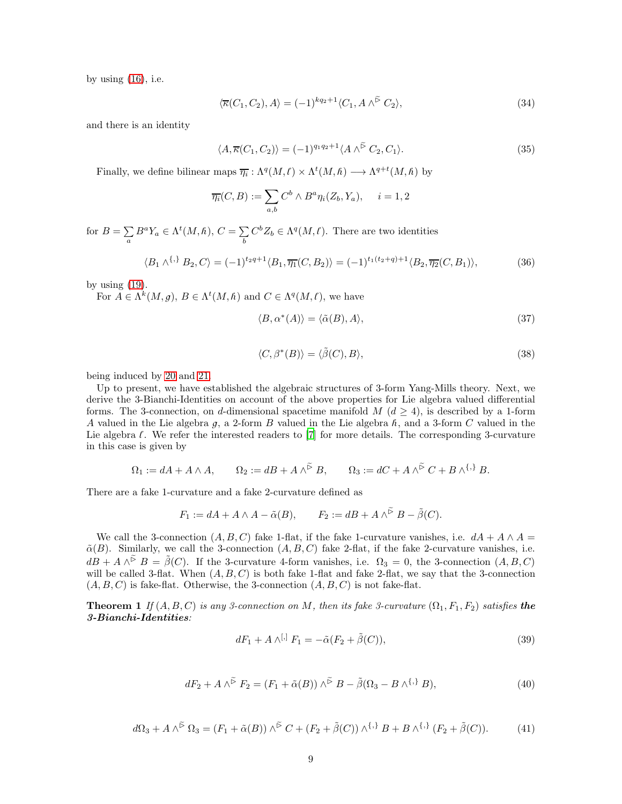by using  $(16)$ , i.e.

<span id="page-24-0"></span>
$$
\langle \overline{\kappa}(C_1, C_2), A \rangle = (-1)^{kq_2+1} \langle C_1, A \wedge^{\widetilde{\triangleright}} C_2 \rangle, \tag{34}
$$

and there is an identity

<span id="page-24-1"></span>
$$
\langle A, \overline{\kappa}(C_1, C_2) \rangle = (-1)^{q_1 q_2 + 1} \langle A \wedge^{\widetilde{\triangleright}} C_2, C_1 \rangle. \tag{35}
$$

Finally, we define bilinear maps  $\overline{\eta_i} : \Lambda^q(M, \ell) \times \Lambda^t(M, \hbar) \longrightarrow \Lambda^{q+t}(M, \hbar)$  by

$$
\overline{\eta_i}(C, B) := \sum_{a,b} C^b \wedge B^a \eta_i(Z_b, Y_a), \quad i = 1, 2
$$

for  $B = \sum$  $\sum_{a} B^{a} Y_{a} \in \Lambda^{t}(M, \hbar), C = \sum_{b}$ b  $C^b Z_b \in \Lambda^q(M, \ell)$ . There are two identities

$$
\langle B_1 \wedge^{\{, \}} B_2, C \rangle = (-1)^{t_2 q + 1} \langle B_1, \overline{\eta_1}(C, B_2) \rangle = (-1)^{t_1(t_2 + q) + 1} \langle B_2, \overline{\eta_2}(C, B_1) \rangle, \tag{36}
$$

by using  $(19)$ .

For  $A \in \Lambda^k(M, g)$ ,  $B \in \Lambda^t(M, \hbar)$  and  $C \in \Lambda^q(M, \ell)$ , we have

<span id="page-24-6"></span><span id="page-24-3"></span>
$$
\langle B, \alpha^*(A) \rangle = \langle \tilde{\alpha}(B), A \rangle,\tag{37}
$$

<span id="page-24-7"></span>
$$
\langle C, \beta^*(B) \rangle = \langle \tilde{\beta}(C), B \rangle, \tag{38}
$$

being induced by [20](#page-21-1) and [21.](#page-21-2)

Up to present, we have established the algebraic structures of 3-form Yang-Mills theory. Next, we derive the 3-Bianchi-Identities on account of the above properties for Lie algebra valued differential forms. The 3-connection, on d-dimensional spacetime manifold  $M$  ( $d \geq 4$ ), is described by a 1-form A valued in the Lie algebra g, a 2-form B valued in the Lie algebra  $h$ , and a 3-form C valued in the Lie algebra  $\ell$ . We refer the interested readers to  $[7]$  for more details. The corresponding 3-curvature in this case is given by

$$
\Omega_1 := dA + A \wedge A, \qquad \Omega_2 := dB + A \wedge^{\widetilde{\rhd}} B, \qquad \Omega_3 := dC + A \wedge^{\widetilde{\rhd}} C + B \wedge^{\{\,,\}} B.
$$

There are a fake 1-curvature and a fake 2-curvature defined as

$$
F_1 := dA + A \wedge A - \tilde{\alpha}(B), \qquad F_2 := dB + A \wedge^{\tilde{\triangleright}} B - \tilde{\beta}(C).
$$

We call the 3-connection  $(A, B, C)$  fake 1-flat, if the fake 1-curvature vanishes, i.e.  $dA + A \wedge A =$  $\tilde{\alpha}(B)$ . Similarly, we call the 3-connection  $(A, B, C)$  fake 2-flat, if the fake 2-curvature vanishes, i.e.  $d\hat{B} + A \wedge^{\tilde{\triangleright}} B = \tilde{\beta}(C)$ . If the 3-curvature 4-form vanishes, i.e.  $\Omega_3 = 0$ , the 3-connection  $(A, B, C)$ will be called 3-flat. When  $(A, B, C)$  is both fake 1-flat and fake 2-flat, we say that the 3-connection  $(A, B, C)$  is fake-flat. Otherwise, the 3-connection  $(A, B, C)$  is not fake-flat.

<span id="page-24-5"></span>**Theorem 1** If  $(A, B, C)$  is any 3-connection on M, then its fake 3-curvature  $(\Omega_1, F_1, F_2)$  satisfies the 3-Bianchi-Identities:

<span id="page-24-4"></span><span id="page-24-2"></span>
$$
dF_1 + A \wedge^{[,} F_1 = -\tilde{\alpha}(F_2 + \tilde{\beta}(C)),\tag{39}
$$

$$
dF_2 + A \wedge^{\tilde{\triangleright}} F_2 = (F_1 + \tilde{\alpha}(B)) \wedge^{\tilde{\triangleright}} B - \tilde{\beta}(\Omega_3 - B \wedge^{\{\,\}} B), \tag{40}
$$

$$
d\Omega_3 + A \wedge^{\widetilde{\triangleright}} \Omega_3 = (F_1 + \widetilde{\alpha}(B)) \wedge^{\widetilde{\triangleright}} C + (F_2 + \widetilde{\beta}(C)) \wedge^{\{\,\}} B + B \wedge^{\{\,\}} (F_2 + \widetilde{\beta}(C)). \tag{41}
$$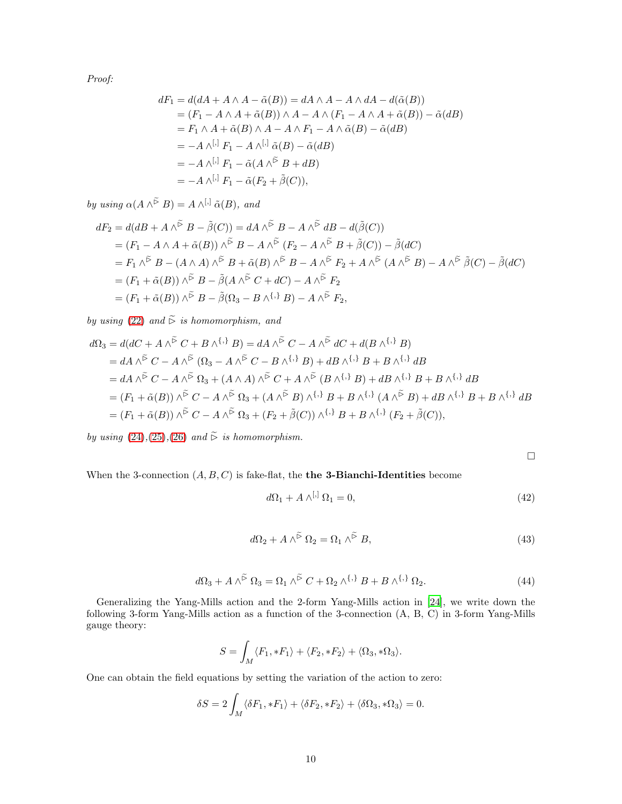Proof:

$$
dF_1 = d(dA + A \wedge A - \tilde{\alpha}(B)) = dA \wedge A - A \wedge dA - d(\tilde{\alpha}(B))
$$
  
=  $(F_1 - A \wedge A + \tilde{\alpha}(B)) \wedge A - A \wedge (F_1 - A \wedge A + \tilde{\alpha}(B)) - \tilde{\alpha}(dB)$   
=  $F_1 \wedge A + \tilde{\alpha}(B) \wedge A - A \wedge F_1 - A \wedge \tilde{\alpha}(B) - \tilde{\alpha}(dB)$   
=  $-A \wedge^{[.]} F_1 - A \wedge^{[.]} \tilde{\alpha}(B) - \tilde{\alpha}(dB)$   
=  $-A \wedge^{[.]} F_1 - \tilde{\alpha}(A \wedge^{\tilde{\triangleright}} B + dB)$   
=  $-A \wedge^{[.]} F_1 - \tilde{\alpha}(F_2 + \tilde{\beta}(C)),$ 

by using  $\alpha(A \wedge^{\tilde{\triangleright}} B) = A \wedge^{[,]} \tilde{\alpha}(B)$ , and

$$
dF_2 = d(dB + A \wedge^{\tilde{\triangleright}} B - \tilde{\beta}(C)) = dA \wedge^{\tilde{\triangleright}} B - A \wedge^{\tilde{\triangleright}} dB - d(\tilde{\beta}(C))
$$
  
\n
$$
= (F_1 - A \wedge A + \tilde{\alpha}(B)) \wedge^{\tilde{\triangleright}} B - A \wedge^{\tilde{\triangleright}} (F_2 - A \wedge^{\tilde{\triangleright}} B + \tilde{\beta}(C)) - \tilde{\beta}(dC)
$$
  
\n
$$
= F_1 \wedge^{\tilde{\triangleright}} B - (A \wedge A) \wedge^{\tilde{\triangleright}} B + \tilde{\alpha}(B) \wedge^{\tilde{\triangleright}} B - A \wedge^{\tilde{\triangleright}} F_2 + A \wedge^{\tilde{\triangleright}} (A \wedge^{\tilde{\triangleright}} B) - A \wedge^{\tilde{\triangleright}} \tilde{\beta}(C) - \tilde{\beta}(dC)
$$
  
\n
$$
= (F_1 + \tilde{\alpha}(B)) \wedge^{\tilde{\triangleright}} B - \tilde{\beta}(A \wedge^{\tilde{\triangleright}} C + dC) - A \wedge^{\tilde{\triangleright}} F_2
$$
  
\n
$$
= (F_1 + \tilde{\alpha}(B)) \wedge^{\tilde{\triangleright}} B - \tilde{\beta}(\Omega_3 - B \wedge^{\{, \}} B) - A \wedge^{\tilde{\triangleright}} F_2,
$$

by using [\(22\)](#page-22-2) and  $\widetilde{\triangleright}$  is homomorphism, and

$$
d\Omega_3 = d(dC + A \wedge^{\tilde{\triangleright}} C + B \wedge^{\{\cdot\}} B) = dA \wedge^{\tilde{\triangleright}} C - A \wedge^{\tilde{\triangleright}} dC + d(B \wedge^{\{\cdot\}} B)
$$
  
\n
$$
= dA \wedge^{\tilde{\triangleright}} C - A \wedge^{\tilde{\triangleright}} (\Omega_3 - A \wedge^{\tilde{\triangleright}} C - B \wedge^{\{\cdot\}} B) + dB \wedge^{\{\cdot\}} B + B \wedge^{\{\cdot\}} dB
$$
  
\n
$$
= dA \wedge^{\tilde{\triangleright}} C - A \wedge^{\tilde{\triangleright}} \Omega_3 + (A \wedge A) \wedge^{\tilde{\triangleright}} C + A \wedge^{\tilde{\triangleright}} (B \wedge^{\{\cdot\}} B) + dB \wedge^{\{\cdot\}} B + B \wedge^{\{\cdot\}} dB
$$
  
\n
$$
= (F_1 + \tilde{\alpha}(B)) \wedge^{\tilde{\triangleright}} C - A \wedge^{\tilde{\triangleright}} \Omega_3 + (A \wedge^{\tilde{\triangleright}} B) \wedge^{\{\cdot\}} B + B \wedge^{\{\cdot\}} (A \wedge^{\tilde{\triangleright}} B) + dB \wedge^{\{\cdot\}} B + B \wedge^{\{\cdot\}} B + B \wedge^{\{\cdot\}} dB
$$
  
\n
$$
= (F_1 + \tilde{\alpha}(B)) \wedge^{\tilde{\triangleright}} C - A \wedge^{\tilde{\triangleright}} \Omega_3 + (F_2 + \tilde{\beta}(C)) \wedge^{\{\cdot\}} B + B \wedge^{\{\cdot\}} (F_2 + \tilde{\beta}(C)),
$$

by using  $(24),(25),(26)$  $(24),(25),(26)$  $(24),(25),(26)$  $(24),(25),(26)$  $(24),(25),(26)$  and  $\widetilde{\triangleright}$  is homomorphism.

<span id="page-25-0"></span> $\Box$ 

When the 3-connection  $(A, B, C)$  is fake-flat, the **the 3-Bianchi-Identities** become

$$
d\Omega_1 + A \wedge^{[,} \Omega_1 = 0,\t\t(42)
$$

$$
d\Omega_2 + A \wedge^{\widetilde{\triangleright}} \Omega_2 = \Omega_1 \wedge^{\widetilde{\triangleright}} B,\tag{43}
$$

$$
d\Omega_3 + A \wedge^{\widetilde{\triangleright}} \Omega_3 = \Omega_1 \wedge^{\widetilde{\triangleright}} C + \Omega_2 \wedge^{\{,\}} B + B \wedge^{\{,\}} \Omega_2. \tag{44}
$$

<span id="page-25-1"></span>Generalizing the Yang-Mills action and the 2-form Yang-Mills action in [\[24](#page-28-12)], we write down the following 3-form Yang-Mills action as a function of the 3-connection (A, B, C) in 3-form Yang-Mills gauge theory:

$$
S = \int_M \langle F_1, *F_1 \rangle + \langle F_2, *F_2 \rangle + \langle \Omega_3, * \Omega_3 \rangle.
$$

One can obtain the field equations by setting the variation of the action to zero:

$$
\delta S = 2 \int_M \langle \delta F_1, *F_1 \rangle + \langle \delta F_2, *F_2 \rangle + \langle \delta \Omega_3, * \Omega_3 \rangle = 0.
$$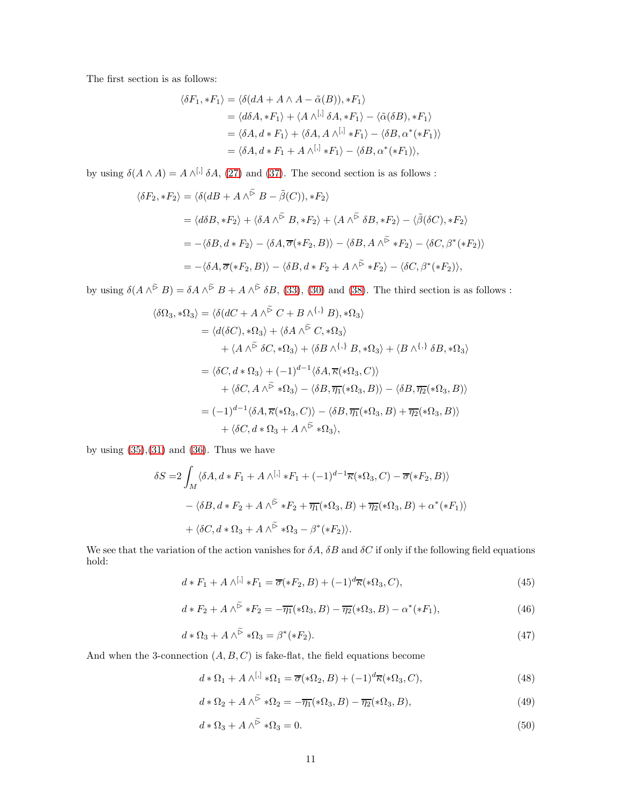The first section is as follows:

$$
\langle \delta F_1, *F_1 \rangle = \langle \delta(dA + A \wedge A - \tilde{\alpha}(B)), *F_1 \rangle
$$
  
=  $\langle d\delta A, *F_1 \rangle + \langle A \wedge^{[,]} \delta A, *F_1 \rangle - \langle \tilde{\alpha}(\delta B), *F_1 \rangle$   
=  $\langle \delta A, d * F_1 \rangle + \langle \delta A, A \wedge^{[,]} *F_1 \rangle - \langle \delta B, \alpha^*(*F_1) \rangle$   
=  $\langle \delta A, d * F_1 + A \wedge^{[,]} *F_1 \rangle - \langle \delta B, \alpha^*(*F_1) \rangle$ ,

by using  $\delta(A \wedge A) = A \wedge^{[0]} \delta A$ , [\(27\)](#page-22-5) and [\(37\)](#page-24-6). The second section is as follows :

$$
\langle \delta F_2, *F_2 \rangle = \langle \delta (dB + A \wedge \tilde{\rangle} B - \tilde{\beta}(C)), *F_2 \rangle
$$
  
= 
$$
\langle d\delta B, *F_2 \rangle + \langle \delta A \wedge \tilde{\rangle} B, *F_2 \rangle + \langle A \wedge \tilde{\rangle} \delta B, *F_2 \rangle - \langle \tilde{\beta}(\delta C), *F_2 \rangle
$$
  
= 
$$
-\langle \delta B, d * F_2 \rangle - \langle \delta A, \overline{\sigma}(*F_2, B) \rangle - \langle \delta B, A \wedge \tilde{\rangle} *F_2 \rangle - \langle \delta C, \beta^*(*F_2) \rangle
$$
  
= 
$$
-\langle \delta A, \overline{\sigma}(*F_2, B) \rangle - \langle \delta B, d * F_2 + A \wedge \tilde{\rangle} *F_2 \rangle - \langle \delta C, \beta^*(*F_2) \rangle,
$$

by using  $\delta(A \wedge^{\tilde{\triangleright}} B) = \delta A \wedge^{\tilde{\triangleright}} B + A \wedge^{\tilde{\triangleright}} \delta B$ , [\(33\)](#page-23-2), [\(30\)](#page-23-0) and [\(38\)](#page-24-7). The third section is as follows :

$$
\langle \delta\Omega_3, * \Omega_3 \rangle = \langle \delta(dC + A \wedge^{\tilde{\triangleright}} C + B \wedge^{\{, \}} B), * \Omega_3 \rangle
$$
  
\n
$$
= \langle d(\delta C), * \Omega_3 \rangle + \langle \delta A \wedge^{\tilde{\triangleright}} C, * \Omega_3 \rangle
$$
  
\n
$$
+ \langle A \wedge^{\tilde{\triangleright}} \delta C, * \Omega_3 \rangle + \langle \delta B \wedge^{\{, \}} B, * \Omega_3 \rangle + \langle B \wedge^{\{, \}} \delta B, * \Omega_3 \rangle
$$
  
\n
$$
= \langle \delta C, d * \Omega_3 \rangle + (-1)^{d-1} \langle \delta A, \overline{\kappa}(* \Omega_3, C) \rangle
$$
  
\n
$$
+ \langle \delta C, A \wedge^{\tilde{\triangleright}} * \Omega_3 \rangle - \langle \delta B, \overline{\eta_1}(* \Omega_3, B) \rangle - \langle \delta B, \overline{\eta_2}(* \Omega_3, B) \rangle
$$
  
\n
$$
= (-1)^{d-1} \langle \delta A, \overline{\kappa}(* \Omega_3, C) \rangle - \langle \delta B, \overline{\eta_1}(* \Omega_3, B) + \overline{\eta_2}(* \Omega_3, B) \rangle
$$
  
\n
$$
+ \langle \delta C, d * \Omega_3 + A \wedge^{\tilde{\triangleright}} * \Omega_3 \rangle,
$$

by using  $(35),(31)$  $(35),(31)$  and  $(36)$ . Thus we have

$$
\delta S = 2 \int_M \langle \delta A, d * F_1 + A \wedge^{[,]} * F_1 + (-1)^{d-1} \overline{\kappa}(*\Omega_3, C) - \overline{\sigma}(*F_2, B) \rangle
$$
  
 
$$
- \langle \delta B, d * F_2 + A \wedge^{\widetilde{\triangleright}} * F_2 + \overline{\eta_1}(*\Omega_3, B) + \overline{\eta_2}(*\Omega_3, B) + \alpha^*(*F_1) \rangle
$$
  
 
$$
+ \langle \delta C, d * \Omega_3 + A \wedge^{\widetilde{\triangleright}} * \Omega_3 - \beta^*(*F_2) \rangle.
$$

We see that the variation of the action vanishes for  $\delta A$ ,  $\delta B$  and  $\delta C$  if only if the following field equations hold:

$$
d * F_1 + A \wedge^{[,]} * F_1 = \overline{\sigma}(*F_2, B) + (-1)^d \overline{\kappa}(*\Omega_3, C),
$$
\n
$$
(45)
$$

$$
d * F_2 + A \wedge^{\widetilde{\triangleright}} * F_2 = -\overline{\eta_1}(*\Omega_3, B) - \overline{\eta_2}(*\Omega_3, B) - \alpha^*(*F_1), \tag{46}
$$

$$
d * \Omega_3 + A \wedge^{\widetilde{\triangleright}} * \Omega_3 = \beta^*(*F_2). \tag{47}
$$

And when the 3-connection  $(A, B, C)$  is fake-flat, the field equations become

<span id="page-26-2"></span><span id="page-26-1"></span><span id="page-26-0"></span>
$$
d * \Omega_1 + A \wedge^{[,]} * \Omega_1 = \overline{\sigma}(*\Omega_2, B) + (-1)^d \overline{\kappa}(*\Omega_3, C),
$$
\n(48)

$$
d * \Omega_2 + A \wedge^{\widetilde{\triangleright}} * \Omega_2 = -\overline{\eta_1}(*\Omega_3, B) - \overline{\eta_2}(*\Omega_3, B), \tag{49}
$$

$$
d * \Omega_3 + A \wedge^{\widetilde{\triangleright}} * \Omega_3 = 0. \tag{50}
$$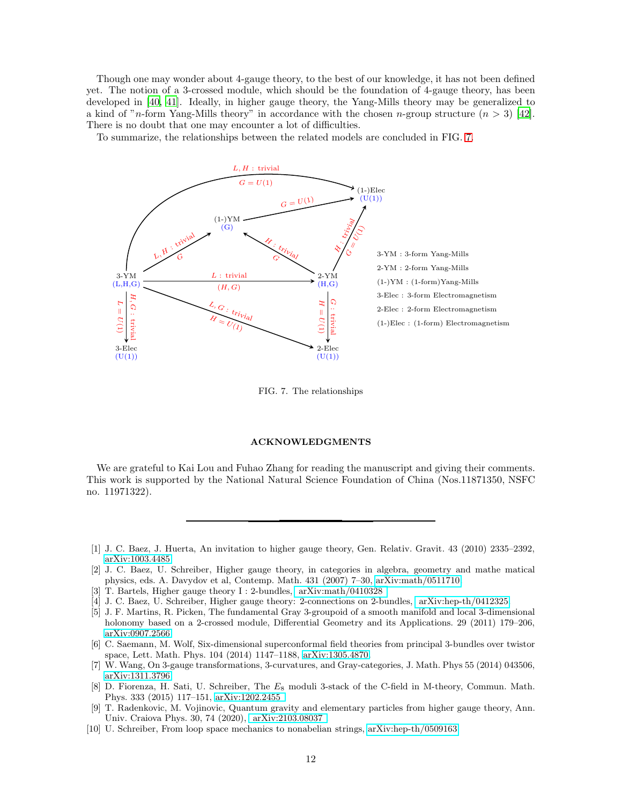Though one may wonder about 4-gauge theory, to the best of our knowledge, it has not been defined yet. The notion of a 3-crossed module, which should be the foundation of 4-gauge theory, has been developed in [\[40](#page-28-27), [41\]](#page-28-28). Ideally, in higher gauge theory, the Yang-Mills theory may be generalized to a kind of "n-form Yang-Mills theory" in accordance with the chosen n-group structure  $(n > 3)$  [\[42\]](#page-28-29). There is no doubt that one may encounter a lot of difficulties.

To summarize, the relationships between the related models are concluded in FIG. [7.](#page-27-9)



<span id="page-27-9"></span>FIG. 7. The relationships

### ACKNOWLEDGMENTS

We are grateful to Kai Lou and Fuhao Zhang for reading the manuscript and giving their comments. This work is supported by the National Natural Science Foundation of China (Nos.11871350, NSFC no. 11971322).

- <span id="page-27-0"></span>[1] J. C. Baez, J. Huerta, An invitation to higher gauge theory, Gen. Relativ. Gravit. 43 (2010) 2335–2392, [arXiv:1003.4485.](arXiv:1003.4485)
- <span id="page-27-1"></span>[2] J. C. Baez, U. Schreiber, Higher gauge theory, in categories in algebra, geometry and mathe matical physics, eds. A. Davydov et al, Contemp. Math. 431 (2007) 7–30, [arXiv:math/0511710.](arXiv:math/0511710)
- <span id="page-27-2"></span>[3] T. Bartels, Higher gauge theory I : 2-bundles, [arXiv:math/0410328 .]( arXiv:math/0410328 )
- <span id="page-27-3"></span>[4] J. C. Baez, U. Schreiber, Higher gauge theory: 2-connections on 2-bundles, [arXiv:hep-th/0412325.]( arXiv:hep-th/0412325)
- <span id="page-27-4"></span>[5] J. F. Martins, R. Picken, The fundamental Gray 3-groupoid of a smooth manifold and local 3-dimensional holonomy based on a 2-crossed module, Differential Geometry and its Applications. 29 (2011) 179–206, [arXiv:0907.2566.](arXiv:0907.2566)
- <span id="page-27-5"></span>[6] C. Saemann, M. Wolf, Six-dimensional superconformal field theories from principal 3-bundles over twistor space, Lett. Math. Phys. 104 (2014) 1147–1188, [arXiv:1305.4870.](arXiv:1305.4870)
- [7] W. Wang, On 3-gauge transformations, 3-curvatures, and Gray-categories, J. Math. Phys 55 (2014) 043506, [arXiv:1311.3796.](arXiv:1311.3796)
- <span id="page-27-6"></span>[8] D. Fiorenza, H. Sati, U. Schreiber, The E<sup>8</sup> moduli 3-stack of the C-field in M-theory, Commun. Math. Phys. 333 (2015) 117–151, [arXiv:1202.2455 .](arXiv:1202.2455 )
- <span id="page-27-7"></span>[9] T. Radenkovic, M. Vojinovic, Quantum gravity and elementary particles from higher gauge theory, Ann. Univ. Craiova Phys. 30, 74 (2020), [arXiv:2103.08037 .]( arXiv:2103.08037 )
- <span id="page-27-8"></span>[10] U. Schreiber, From loop space mechanics to nonabelian strings, [arXiv:hep-th/0509163.](arXiv:hep-th/0509163)